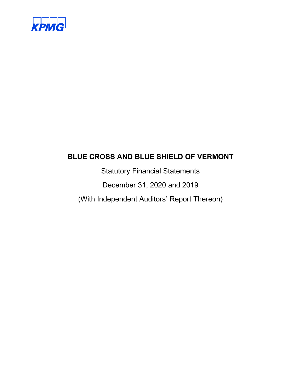

Statutory Financial Statements

December 31, 2020 and 2019

(With Independent Auditors' Report Thereon)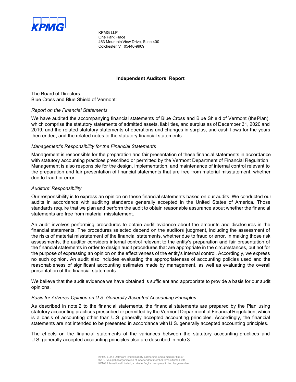

KPMG LLP One Park Place 463 Mountain View Drive, Suite 400 Colchester, VT 05446-9909

#### **Independent Auditors' Report**

The Board of Directors Blue Cross and Blue Shield of Vermont:

#### *Report on the Financial Statements*

We have audited the accompanying financial statements of Blue Cross and Blue Shield of Vermont (the Plan), which comprise the statutory statements of admitted assets, liabilities, and surplus as of December 31, 2020 and 2019, and the related statutory statements of operations and changes in surplus, and cash flows for the years then ended, and the related notes to the statutory financial statements.

#### *Management's Responsibility for the Financial Statements*

Management is responsible for the preparation and fair presentation of these financial statements in accordance with statutory accounting practices prescribed or permitted by the Vermont Department of Financial Regulation. Management is also responsible for the design, implementation, and maintenance of internal control relevant to the preparation and fair presentation of financial statements that are free from material misstatement, whether due to fraud or error.

#### *Auditors' Responsibility*

Our responsibility is to express an opinion on these financial statements based on our audits. We conducted our audits in accordance with auditing standards generally accepted in the United States of America. Those standards require that we plan and perform the audit to obtain reasonable assurance about whether the financial statements are free from material misstatement.

An audit involves performing procedures to obtain audit evidence about the amounts and disclosures in the financial statements. The procedures selected depend on the auditors' judgment, including the assessment of the risks of material misstatement of the financial statements, whether due to fraud or error. In making those risk assessments, the auditor considers internal control relevant to the entity's preparation and fair presentation of the financial statements in order to design audit procedures that are appropriate in the circumstances, but not for the purpose of expressing an opinion on the effectiveness of the entity's internal control. Accordingly, we express no such opinion. An audit also includes evaluating the appropriateness of accounting policies used and the reasonableness of significant accounting estimates made by management, as well as evaluating the overall presentation of the financial statements.

We believe that the audit evidence we have obtained is sufficient and appropriate to provide a basis for our audit opinions.

#### *Basis for Adverse Opinion on U.S. Generally Accepted Accounting Principles*

As described in note 2 to the financial statements, the financial statements are prepared by the Plan using statutory accounting practices prescribed or permitted by the Vermont Department of Financial Regulation, which is a basis of accounting other than U.S. generally accepted accounting principles. Accordingly, the financial statements are not intended to be presented in accordance with U.S. generally accepted accounting principles.

The effects on the financial statements of the variances between the statutory accounting practices and U.S. generally accepted accounting principles also are described in note 3.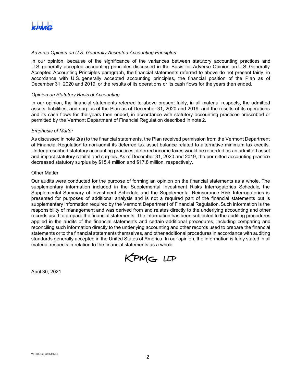

#### *Adverse Opinion on U.S. Generally Accepted Accounting Principles*

In our opinion, because of the significance of the variances between statutory accounting practices and U.S. generally accepted accounting principles discussed in the Basis for Adverse Opinion on U.S. Generally Accepted Accounting Principles paragraph, the financial statements referred to above do not present fairly, in accordance with U.S. generally accepted accounting principles, the financial position of the Plan as of December 31, 2020 and 2019, or the results of its operations or its cash flows for the years then ended.

#### *Opinion on Statutory Basis of Accounting*

In our opinion, the financial statements referred to above present fairly, in all material respects, the admitted assets, liabilities, and surplus of the Plan as of December 31, 2020 and 2019, and the results of its operations and its cash flows for the years then ended, in accordance with statutory accounting practices prescribed or permitted by the Vermont Department of Financial Regulation described in note 2.

#### *Emphasis of Matter*

As discussed in note 2(a) to the financial statements, the Plan received permission from the Vermont Department of Financial Regulation to non-admit its deferred tax asset balance related to alternative minimum tax credits. Under prescribed statutory accounting practices, deferred income taxes would be recorded as an admitted asset and impact statutory capital and surplus. As of December 31, 2020 and 2019, the permitted accounting practice decreased statutory surplus by \$15.4 million and \$17.8 million, respectively.

#### Other Matter

Our audits were conducted for the purpose of forming an opinion on the financial statements as a whole. The supplementary information included in the Supplemental Investment Risks Interrogatories Schedule, the Supplemental Summary of Investment Schedule and the Supplemental Reinsurance Risk Interrogatories is presented for purposes of additional analysis and is not a required part of the financial statements but is supplementary information required by the Vermont Department of Financial Regulation. Such information is the responsibility of management and was derived from and relates directly to the underlying accounting and other records used to prepare the financial statements. The information has been subjected to the auditing procedures applied in the audits of the financial statements and certain additional procedures, including comparing and reconciling such information directly to the underlying accounting and other records used to prepare the financial statements or to the financial statements themselves, and other additional procedures in accordance with auditing standards generally accepted in the United States of America. In our opinion, the information is fairly stated in all material respects in relation to the financial statements as a whole.



April 30, 2021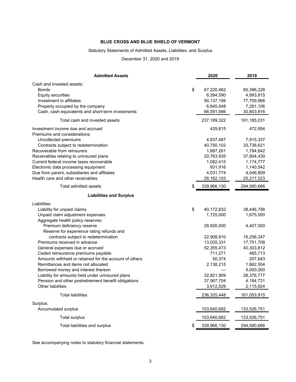# Statutory Statements of Admitted Assets, Liabilities, and Surplus

December 31, 2020 and 2019

| <b>Admitted Assets</b>                                 | 2020          | 2019        |
|--------------------------------------------------------|---------------|-------------|
| Cash and invested assets:                              |               |             |
| \$<br><b>Bonds</b>                                     | 67,220,462    | 60,396,228  |
| <b>Equity securities</b>                               | 6,394,590     | 4,993,815   |
| Investment in affiliates                               | 90,137,156    | 77,709,966  |
| Property occupied by the company                       | 6,845,548     | 7,281,106   |
| Cash, cash equivalents and short-term investments      | 66,591,566    | 30,803,916  |
| Total cash and invested assets                         | 237, 189, 322 | 181,185,031 |
| Investment income due and accrued                      | 429,815       | 472,954     |
| Premiums and considerations:                           |               |             |
| Uncollected premiums                                   | 4,937,487     | 7,915,337   |
| Contracts subject to redetermination                   | 40,750,102    | 33,738,621  |
| Recoverable from reinsurers                            | 1,687,261     | 1,784,642   |
| Receivables relating to uninsured plans                | 20,763,935    | 37,904,430  |
| Current federal income taxes recoverable               | 1,082,415     | 1,174,777   |
| Electronic data processing equipment                   | 931,916       | 1,140,542   |
| Due from parent, subsidiaries and affiliates           | 4,031,774     | 4,046,809   |
| Health care and other receivables                      | 28, 162, 103  | 25,217,523  |
| Total admitted assets<br>\$                            | 339,966,130   | 294,580,666 |
| <b>Liabilities and Surplus</b>                         |               |             |
| Liabilities:                                           |               |             |
| \$<br>Liability for unpaid claims                      | 40,172,832    | 38,446,756  |
| Unpaid claim adjustment expenses                       | 1,725,000     | 1,675,000   |
| Aggregate health policy reserves:                      |               |             |
| Premium deficiency reserve                             | 28,926,000    | 4,407,000   |
| Reserve for experience rating refunds and              |               |             |
| contracts subject to redetermination                   | 22,908,810    | 16,256,347  |
| Premiums received in advance                           | 13,035,331    | 17,751,708  |
| General expenses due or accrued                        | 52,355,473    | 40,303,812  |
| Ceded reinsurance premiums payable                     | 711,271       | 465,713     |
| Amounts withheld or retained for the account of others | 50,374        | 207,643     |
| Remittances and items not allocated                    | 2,138,215     | 1,862,504   |
| Borrowed money and interest thereon                    |               | 5,000,000   |
| Liability for amounts held under uninsured plans       | 32,821,909    | 28,376,777  |
| Pension and other postretirement benefit obligations   | 37,567,704    | 4,184,731   |
| Other liabilities                                      | 3,912,529     | 2,115,924   |
| <b>Total liabilities</b>                               | 236,325,448   | 161,053,915 |
| Surplus:                                               |               |             |
| Accumulated surplus                                    | 103,640,682   | 133,526,751 |
| <b>Total surplus</b>                                   | 103,640,682   | 133,526,751 |
| Total liabilities and surplus<br>\$                    | 339,966,130   | 294,580,666 |

See accompanying notes to statutory financial statements.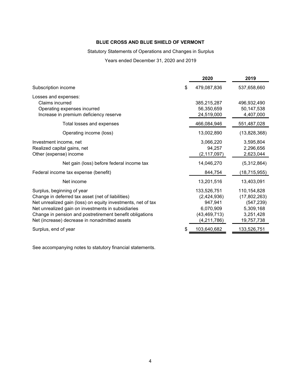# Statutory Statements of Operations and Changes in Surplus

Years ended December 31, 2020 and 2019

|                                                                                                                                                                                                                                                                                                                    |   | 2020                                                                                | 2019                                                                              |
|--------------------------------------------------------------------------------------------------------------------------------------------------------------------------------------------------------------------------------------------------------------------------------------------------------------------|---|-------------------------------------------------------------------------------------|-----------------------------------------------------------------------------------|
| Subscription income                                                                                                                                                                                                                                                                                                | S | 479,087,836                                                                         | 537,658,660                                                                       |
| Losses and expenses:<br>Claims incurred<br>Operating expenses incurred<br>Increase in premium deficiency reserve                                                                                                                                                                                                   |   | 385,215,287<br>56,350,659<br>24,519,000                                             | 496,932,490<br>50,147,538<br>4,407,000                                            |
| Total losses and expenses                                                                                                                                                                                                                                                                                          |   | 466,084,946                                                                         | 551,487,028                                                                       |
| Operating income (loss)                                                                                                                                                                                                                                                                                            |   | 13,002,890                                                                          | (13,828,368)                                                                      |
| Investment income, net<br>Realized capital gains, net<br>Other (expense) income                                                                                                                                                                                                                                    |   | 3,066,220<br>94,257<br>(2, 117, 097)                                                | 3,595,804<br>2,296,656<br>2,623,044                                               |
| Net gain (loss) before federal income tax                                                                                                                                                                                                                                                                          |   | 14,046,270                                                                          | (5,312,864)                                                                       |
| Federal income tax expense (benefit)                                                                                                                                                                                                                                                                               |   | 844,754                                                                             | (18, 715, 955)                                                                    |
| Net income                                                                                                                                                                                                                                                                                                         |   | 13,201,516                                                                          | 13,403,091                                                                        |
| Surplus, beginning of year<br>Change in deferred tax asset (net of liabilities)<br>Net unrealized gain (loss) on equity investments, net of tax<br>Net unrealized gain on investments in subsidiaries<br>Change in pension and postretirement benefit obligations<br>Net (increase) decrease in nonadmitted assets |   | 133,526,751<br>(2,424,936)<br>947,941<br>6,070,909<br>(43, 469, 713)<br>(4,211,786) | 110,154,828<br>(17,802,263)<br>(547, 239)<br>5,309,168<br>3,251,428<br>19,757,738 |
| Surplus, end of year                                                                                                                                                                                                                                                                                               | S | 103,640,682                                                                         | 133,526,751                                                                       |

See accompanying notes to statutory financial statements.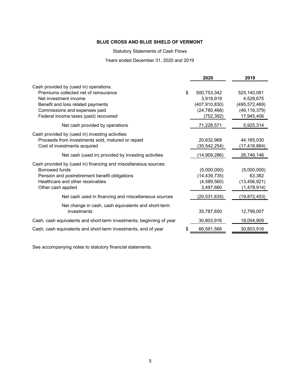Statutory Statements of Cash Flows

Years ended December 31, 2020 and 2019

|                                                                                                                                                                                                                         | 2020                                                                              | 2019                                                                        |
|-------------------------------------------------------------------------------------------------------------------------------------------------------------------------------------------------------------------------|-----------------------------------------------------------------------------------|-----------------------------------------------------------------------------|
| Cash provided by (used in) operations:<br>Premiums collected net of reinsurance<br>Net investment income<br>Benefit and loss related payments<br>Commissions and expenses paid<br>Federal income taxes (paid) recovered | \$<br>500,753,342<br>3,918,919<br>(407, 910, 830)<br>(24, 780, 468)<br>(752, 392) | 525,140,081<br>4,528,675<br>(495, 572, 469)<br>(46, 116, 379)<br>17,945,406 |
| Net cash provided by operations                                                                                                                                                                                         | 71,228,571                                                                        | 5,925,314                                                                   |
| Cash provided by (used in) investing activities:<br>Proceeds from investments sold, matured or repaid<br>Cost of investments acquired                                                                                   | 20,632,968<br>(35, 542, 254)                                                      | 44,165,030<br>(17, 418, 884)                                                |
| Net cash (used in) provided by investing activities                                                                                                                                                                     | (14,909,286)                                                                      | 26,746,146                                                                  |
| Cash provided by (used in) financing and miscellaneous sources:<br>Borrowed funds<br>Pension and postretirement benefit obligations<br>Healthcare and other receivables<br>Other cash applied                           | (5,000,000)<br>(14, 439, 735)<br>(4,589,560)<br>3,497,660                         | (5,000,000)<br>63,382<br>(13, 456, 921)<br>(1,478,914)                      |
| Net cash used in financing and miscellaneous sources                                                                                                                                                                    | (20, 531, 635)                                                                    | (19, 872, 453)                                                              |
| Net change in cash, cash equivalents and short-term<br>investments                                                                                                                                                      | 35,787,650                                                                        | 12,799,007                                                                  |
| Cash, cash equivalents and short-term investments, beginning of year                                                                                                                                                    | 30,803,916                                                                        | 18,004,909                                                                  |
| Cash, cash equivalents and short-term investments, end of year                                                                                                                                                          | 66,591,566                                                                        | 30,803,916                                                                  |
|                                                                                                                                                                                                                         |                                                                                   |                                                                             |

See accompanying notes to statutory financial statements.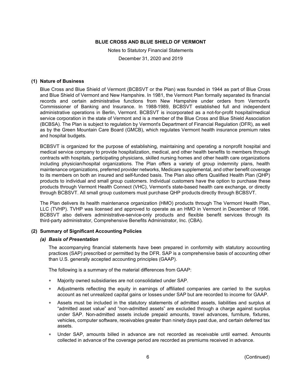Notes to Statutory Financial Statements December 31, 2020 and 2019

#### **(1) Nature of Business**

Blue Cross and Blue Shield of Vermont (BCBSVT or the Plan) was founded in 1944 as part of Blue Cross and Blue Shield of Vermont and New Hampshire. In 1981, the Vermont Plan formally separated its financial records and certain administrative functions from New Hampshire under orders from Vermont's Commissioner of Banking and Insurance. In 1988-1989, BCBSVT established full and independent administrative operations in Berlin, Vermont. BCBSVT is incorporated as a not-for-profit hospital/medical service corporation in the state of Vermont and is a member of the Blue Cross and Blue Shield Association (BCBSA). The Plan is subject to regulation by Vermont's Department of Financial Regulation (DFR), as well as by the Green Mountain Care Board (GMCB), which regulates Vermont health insurance premium rates and hospital budgets.

BCBSVT is organized for the purpose of establishing, maintaining and operating a nonprofit hospital and medical service company to provide hospitalization, medical, and other health benefits to members through contracts with hospitals, participating physicians, skilled nursing homes and other health care organizations including physician/hospital organizations. The Plan offers a variety of group indemnity plans, health maintenance organizations, preferred provider networks, Medicare supplemental, and other benefit coverage to its members on both an insured and self-funded basis. The Plan also offers Qualified Health Plan (QHP) products to individual and small group customers. Individual customers have the option to purchase these products through Vermont Health Connect (VHC), Vermont's state-based health care exchange, or directly through BCBSVT. All small group customers must purchase QHP products directly through BCBSVT.

The Plan delivers its health maintenance organization (HMO) products through The Vermont Health Plan, LLC (TVHP). TVHP was licensed and approved to operate as an HMO in Vermont in December of 1996. BCBSVT also delivers administrative-service-only products and flexible benefit services through its third-party administrator, Comprehensive Benefits Administrator, Inc. (CBA).

#### **(2) Summary of Significant Accounting Policies**

## *(a) Basis of Presentation*

The accompanying financial statements have been prepared in conformity with statutory accounting practices (SAP) prescribed or permitted by the DFR. SAP is a comprehensive basis of accounting other than U.S. generally accepted accounting principles (GAAP).

The following is a summary of the material differences from GAAP:

- Majority owned subsidiaries are not consolidated under SAP.
- Adjustments reflecting the equity in earnings of affiliated companies are carried to the surplus account as net unrealized capital gains or losses under SAP but are recorded to income for GAAP.
- Assets must be included in the statutory statements of admitted assets, liabilities and surplus at "admitted asset value" and "non-admitted assets" are excluded through a charge against surplus under SAP. Non-admitted assets include prepaid amounts, travel advances, furniture, fixtures, vehicles, computer software, receivables greater than ninety days past due, and certain deferred tax assets.
- Under SAP, amounts billed in advance are not recorded as receivable until earned. Amounts collected in advance of the coverage period are recorded as premiums received in advance.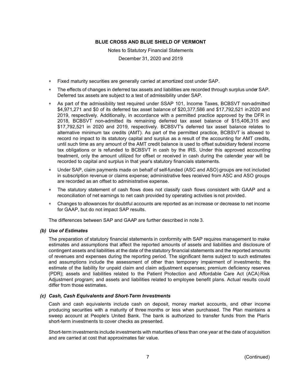Notes to Statutory Financial Statements December 31, 2020 and 2019

- Fixed maturity securities are generally carried at amortized cost under SAP.
- The effects of changes in deferred tax assets and liabilities are recorded through surplus under SAP. Deferred tax assets are subject to a test of admissibility under SAP.
- As part of the admissibility test required under SSAP 101, Income Taxes, BCBSVT non-admitted \$4,971,271 and \$0 of its deferred tax asset balance of \$20,377,586 and \$17,792,521 in 2020 and 2019, respectively. Additionally, in accordance with a permitted practice approved by the DFR in 2018, BCBSVT non-admitted its remaining deferred tax asset balance of \$15,406,315 and \$17,792,521 in 2020 and 2019, respectively. BCBSVT's deferred tax asset balance relates to alternative minimum tax credits (AMT). As part of the permitted practice, BCBSVT is allowed to record no impact to its statutory capital and surplus as a result of the accounting for AMT credits, until such time as any amount of the AMT credit balance is used to offset subsidiary federal income tax obligations or is refunded to BCBSVT in cash by the IRS. Under this approved accounting treatment, only the amount utilized for offset or received in cash during the calendar year will be recorded to capital and surplus in that year's statutory financials statements.
- Under SAP, claim payments made on behalf of self-funded (ASC and ASO) groups are not included in subscription revenue or claims expense; administrative fees received from ASC and ASO groups are recorded as an offset to administrative expense.
- The statutory statement of cash flows does not classify cash flows consistent with GAAP and a reconciliation of net earnings to net cash provided by operating activities is not provided.
- Changes to allowances for doubtful accounts are reported as an increase or decrease to net income for GAAP, but do not impact SAP results.

The differences between SAP and GAAP are further described in note 3.

#### *(b) Use of Estimates*

The preparation of statutory financial statements in conformity with SAP requires management to make estimates and assumptions that affect the reported amounts of assets and liabilities and disclosure of contingent assets and liabilities at the date of the statutory financial statements and the reported amounts of revenues and expenses during the reporting period. The significant items subject to such estimates and assumptions include the assessment of other than temporary impairment of investments; the estimate of the liability for unpaid claim and claim adjustment expenses; premium deficiency reserves (PDR); assets and liabilities related to the Patient Protection and Affordable Care Act (ACA) Risk Adjustment program; and assets and liabilities related to employee benefit plans. Actual results could differ from those estimates.

#### *(c) Cash, Cash Equivalents and Short-Term Investments*

Cash and cash equivalents include cash on deposit, money market accounts, and other income producing securities with a maturity of three months or less when purchased. The Plan maintains a sweep account at People's United Bank. The bank is authorized to transfer funds from the Plan's short-term investments to cover checks as presented.

Short-term investments include investments with maturities of less than one year at the date of acquisition and are carried at cost that approximates fair value.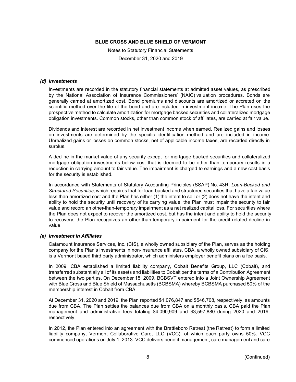Notes to Statutory Financial Statements December 31, 2020 and 2019

#### *(d) Investments*

Investments are recorded in the statutory financial statements at admitted asset values, as prescribed by the National Association of Insurance Commissioners' (NAIC) valuation procedures. Bonds are generally carried at amortized cost. Bond premiums and discounts are amortized or accreted on the scientific method over the life of the bond and are included in investment income. The Plan uses the prospective method to calculate amortization for mortgage backed securities and collateralized mortgage obligation investments. Common stocks, other than common stock of affiliates, are carried at fair value.

Dividends and interest are recorded in net investment income when earned. Realized gains and losses on investments are determined by the specific identification method and are included in income. Unrealized gains or losses on common stocks, net of applicable income taxes, are recorded directly in surplus.

A decline in the market value of any security except for mortgage backed securities and collateralized mortgage obligation investments below cost that is deemed to be other than temporary results in a reduction in carrying amount to fair value. The impairment is charged to earnings and a new cost basis for the security is established.

In accordance with Statements of Statutory Accounting Principles (SSAP) No. 43R, *Loan-Backed and Structured Securities*, which requires that for loan-backed and structured securities that have a fair value less than amortized cost and the Plan has either (1) the intent to sell or (2) does not have the intent and ability to hold the security until recovery of its carrying value, the Plan must impair the security to fair value and record an other-than-temporary impairment as a net realized capital loss. For securities where the Plan does not expect to recover the amortized cost, but has the intent and ability to hold the security to recovery, the Plan recognizes an other-than-temporary impairment for the credit related decline in value.

#### *(e) Investment in Affiliates*

Catamount Insurance Services, Inc. (CIS), a wholly owned subsidiary of the Plan, serves as the holding company for the Plan's investments in non-insurance affiliates. CBA, a wholly owned subsidiary of CIS, is a Vermont based third party administrator, which administers employer benefit plans on a fee basis.

In 2009, CBA established a limited liability company, Cobalt Benefits Group, LLC (Cobalt), and transferred substantially all of its assets and liabilities to Cobalt per the terms of a Contribution Agreement between the two parties. On December 15, 2009, BCBSVT entered into a Joint Ownership Agreement with Blue Cross and Blue Shield of Massachusetts (BCBSMA) whereby BCBSMA purchased 50% of the membership interest in Cobalt from CBA.

At December 31, 2020 and 2019, the Plan reported \$1,076,847 and \$546,708, respectively, as amounts due from CBA. The Plan settles the balances due from CBA on a monthly basis. CBA paid the Plan management and administrative fees totaling \$4,090,909 and \$3,597,880 during 2020 and 2019, respectively.

In 2012, the Plan entered into an agreement with the Brattleboro Retreat (the Retreat) to form a limited liability company, Vermont Collaborative Care, LLC (VCC), of which each party owns 50%. VCC commenced operations on July 1, 2013. VCC delivers benefit management, care management and care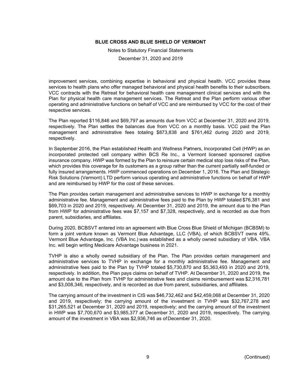Notes to Statutory Financial Statements

December 31, 2020 and 2019

improvement services, combining expertise in behavioral and physical health. VCC provides these services to health plans who offer managed behavioral and physical health benefits to their subscribers. VCC contracts with the Retreat for behavioral health care management clinical services and with the Plan for physical health care management services. The Retreat and the Plan perform various other operating and administrative functions on behalf of VCC and are reimbursed by VCC for the cost of their respective services.

The Plan reported \$116,846 and \$69,797 as amounts due from VCC at December 31, 2020 and 2019, respectively. The Plan settles the balances due from VCC on a monthly basis. VCC paid the Plan management and administrative fees totaling \$873,838 and \$761,462 during 2020 and 2019, respectively.

In September 2016, the Plan established Health and Wellness Partners, Incorporated Cell (HWP) as an incorporated protected cell company within BCS Re Inc., a Vermont licensed sponsored captive insurance company. HWP was formed by the Plan to reinsure certain medical stop loss risks of the Plan, which provides this coverage for its customers as a group rather than the current partially self-funded or fully insured arrangements. HWP commenced operations on December 1, 2016. The Plan and Strategic Risk Solutions (Vermont) LTD perform various operating and administrative functions on behalf of HWP and are reimbursed by HWP for the cost of these services.

The Plan provides certain management and administrative services to HWP in exchange for a monthly administrative fee. Management and administrative fees paid to the Plan by HWP totaled \$76,381 and \$69,703 in 2020 and 2019, respectively. At December 31, 2020 and 2019, the amount due to the Plan from HWP for administrative fees was \$7,157 and \$7,328, respectively, and is recorded as due from parent, subsidiaries, and affiliates.

During 2020, BCBSVT entered into an agreement with Blue Cross Blue Shield of Michigan (BCBSM) to form a joint venture known as Vermont Blue Advantage, LLC (VBA), of which BCBSVT owns 49%. Vermont Blue Advantage, Inc. (VBA Inc.) was established as a wholly owned subsidiary of VBA. VBA Inc. will begin writing Medicare Advantage business in 2021.

TVHP is also a wholly owned subsidiary of the Plan. The Plan provides certain management and administrative services to TVHP in exchange for a monthly administrative fee. Management and administrative fees paid to the Plan by TVHP totaled \$5,730,870 and \$5,363,493 in 2020 and 2019, respectively. In addition, the Plan pays claims on behalf of TVHP. At December 31, 2020 and 2019, the amount due to the Plan from TVHP for administrative fees and claims reimbursement was \$2,316,781 and \$3,008,346, respectively, and is recorded as due from parent, subsidiaries, and affiliates.

The carrying amount of the investment in CIS was \$46,732,462 and \$42,459,068 at December 31, 2020 and 2019, respectively; the carrying amount of the investment in TVHP was \$32,767,278 and \$31,265,521 at December 31, 2020 and 2019, respectively; and the carrying amount of the investment in HWP was \$7,700,670 and \$3,985,377 at December 31, 2020 and 2019, respectively. The carrying amount of the investment in VBA was \$2,936,746 as of December 31, 2020.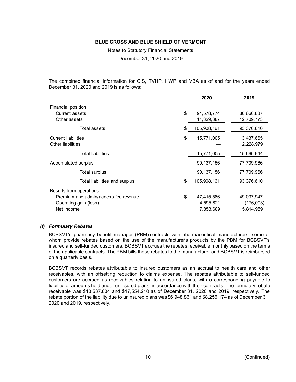Notes to Statutory Financial Statements

December 31, 2020 and 2019

The combined financial information for CIS, TVHP, HWP and VBA as of and for the years ended December 31, 2020 and 2019 is as follows:

|                                                                                                         | 2020                                       | 2019                                 |
|---------------------------------------------------------------------------------------------------------|--------------------------------------------|--------------------------------------|
| Financial position:<br>Current assets<br>Other assets                                                   | \$<br>94,578,774<br>11,329,387             | 80,666,837<br>12,709,773             |
| Total assets                                                                                            | \$<br>105,908,161                          | 93,376,610                           |
| <b>Current liabilities</b><br>Other liabilities                                                         | \$<br>15,771,005                           | 13,437,665<br>2,228,979              |
| <b>Total liabilities</b>                                                                                | 15,771,005                                 | 15,666,644                           |
| Accumulated surplus                                                                                     | 90, 137, 156                               | 77,709,966                           |
| <b>Total surplus</b>                                                                                    | 90, 137, 156                               | 77,709,966                           |
| Total liabilities and surplus                                                                           | \$<br>105,908,161                          | 93,376,610                           |
| Results from operations:<br>Premium and admin/access fee revenue<br>Operating gain (loss)<br>Net income | \$<br>47,415,586<br>4,595,821<br>7,858,689 | 49,037,947<br>(176,093)<br>5,814,959 |

#### *(f) Formulary Rebates*

BCBSVT's pharmacy benefit manager (PBM) contracts with pharmaceutical manufacturers, some of whom provide rebates based on the use of the manufacturer's products by the PBM for BCBSVT's insured and self-funded customers. BCBSVT accrues the rebates receivable monthly based on the terms of the applicable contracts. The PBM bills these rebates to the manufacturer and BCBSVT is reimbursed on a quarterly basis.

BCBSVT records rebates attributable to insured customers as an accrual to health care and other receivables, with an offsetting reduction to claims expense. The rebates attributable to self-funded customers are accrued as receivables relating to uninsured plans, with a corresponding payable to liability for amounts held under uninsured plans, in accordance with their contracts. The formulary rebate receivable was \$18,537,834 and \$17,554,210 as of December 31, 2020 and 2019, respectively. The rebate portion of the liability due to uninsured plans was \$6,948,861 and \$8,256,174 as of December 31, 2020 and 2019, respectively.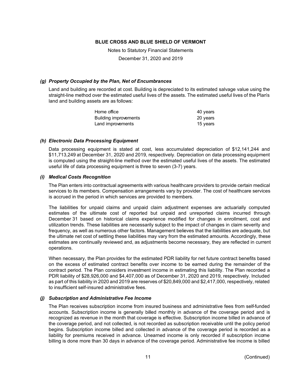Notes to Statutory Financial Statements

December 31, 2020 and 2019

#### *(g) Property Occupied by the Plan, Net of Encumbrances*

Land and building are recorded at cost. Building is depreciated to its estimated salvage value using the straight-line method over the estimated useful lives of the assets. The estimated useful lives of the Plan's land and building assets are as follows:

| Home office           | 40 years |
|-----------------------|----------|
| Building improvements | 20 years |
| Land improvements     | 15 years |

#### *(h) Electronic Data Processing Equipment*

Data processing equipment is stated at cost, less accumulated depreciation of \$12,141,244 and \$11,713,249 at December 31, 2020 and 2019, respectively. Depreciation on data processing equipment is computed using the straight-line method over the estimated useful lives of the assets. The estimated useful life of data processing equipment is three to seven (3-7) years.

#### *(i) Medical Costs Recognition*

The Plan enters into contractual agreements with various healthcare providers to provide certain medical services to its members. Compensation arrangements vary by provider. The cost of healthcare services is accrued in the period in which services are provided to members.

The liabilities for unpaid claims and unpaid claim adjustment expenses are actuarially computed estimates of the ultimate cost of reported but unpaid and unreported claims incurred through December 31 based on historical claims experience modified for changes in enrollment, cost and utilization trends. These liabilities are necessarily subject to the impact of changes in claim severity and frequency, as well as numerous other factors. Management believes that the liabilities are adequate, but the ultimate net cost of settling these liabilities may vary from the estimated amounts. Accordingly, these estimates are continually reviewed and, as adjustments become necessary, they are reflected in current operations.

When necessary, the Plan provides for the estimated PDR liability for net future contract benefits based on the excess of estimated contract benefits over income to be earned during the remainder of the contract period. The Plan considers investment income in estimating this liability. The Plan recorded a PDR liability of \$28,926,000 and \$4,407,000 as of December 31, 2020 and 2019, respectively. Included as part of this liability in 2020 and 2019 are reserves of \$20,849,000 and \$2,417,000, respectively, related to insufficient self-insured administrative fees.

#### *(j) Subscription and Administrative Fee Income*

The Plan receives subscription income from insured business and administrative fees from self-funded accounts. Subscription income is generally billed monthly in advance of the coverage period and is recognized as revenue in the month that coverage is effective. Subscription income billed in advance of the coverage period, and not collected, is not recorded as subscription receivable until the policy period begins. Subscription income billed and collected in advance of the coverage period is recorded as a liability for premiums received in advance. Unearned income is only recorded if subscription income billing is done more than 30 days in advance of the coverage period. Administrative fee income is billed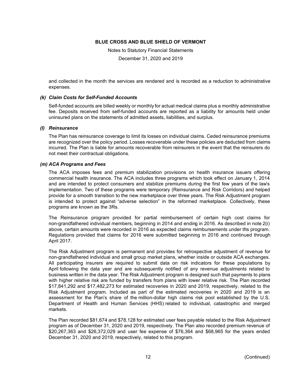Notes to Statutory Financial Statements

December 31, 2020 and 2019

and collected in the month the services are rendered and is recorded as a reduction to administrative expenses.

#### *(k) Claim Costs for Self-Funded Accounts*

Self-funded accounts are billed weekly or monthly for actual medical claims plus a monthly administrative fee. Deposits received from self-funded accounts are reported as a liability for amounts held under uninsured plans on the statements of admitted assets, liabilities, and surplus.

#### *(l) Reinsurance*

The Plan has reinsurance coverage to limit its losses on individual claims. Ceded reinsurance premiums are recognized over the policy period. Losses recoverable under these policies are deducted from claims incurred. The Plan is liable for amounts recoverable from reinsurers in the event that the reinsurers do not meet their contractual obligations.

#### *(m) ACA Programs and Fees*

The ACA imposes fees and premium stabilization provisions on health insurance issuers offering commercial health insurance. The ACA includes three programs which took effect on January 1, 2014 and are intended to protect consumers and stabilize premiums during the first few years of the law's implementation. Two of these programs were temporary (Reinsurance and Risk Corridors) and helped provide for a smooth transition to the new marketplace over three years. The Risk Adjustment program is intended to protect against "adverse selection" in the reformed marketplace. Collectively, these programs are known as the 3Rs.

The Reinsurance program provided for partial reimbursement of certain high cost claims for non-grandfathered individual members, beginning in 2014 and ending in 2016. As described in note 2(i) above, certain amounts were recorded in 2016 as expected claims reimbursements under this program. Regulations provided that claims for 2016 were submitted beginning in 2016 and continued through April 2017.

The Risk Adjustment program is permanent and provides for retrospective adjustment of revenue for non-grandfathered individual and small group market plans, whether inside or outside ACA exchanges. All participating insurers are required to submit data on risk indicators for these populations by April following the data year and are subsequently notified of any revenue adjustments related to business written in the data year. The Risk Adjustment program is designed such that payments to plans with higher relative risk are funded by transfers from plans with lower relative risk. The Plan recorded \$17,841,292 and \$17,482,273 for estimated recoveries in 2020 and 2019, respectively, related to the Risk Adjustment program. Included as part of the estimated recoveries in 2020 and 2019 is an assessment for the Plan's share of the million-dollar high claims risk pool established by the U.S. Department of Health and Human Services (HHS) related to individual, catastrophic and merged markets.

The Plan recorded \$81,674 and \$78,128 for estimated user fees payable related to the Risk Adjustment program as of December 31, 2020 and 2019, respectively. The Plan also recorded premium revenue of \$20,267,363 and \$26,372,029 and user fee expense of \$76,364 and \$68,965 for the years ended December 31, 2020 and 2019, respectively, related to this program.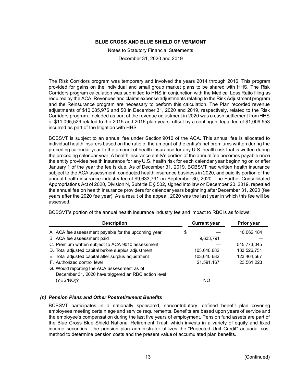Notes to Statutory Financial Statements

December 31, 2020 and 2019

The Risk Corridors program was temporary and involved the years 2014 through 2016. This program provided for gains on the individual and small group market plans to be shared with HHS. The Risk Corridors program calculation was submitted to HHS in conjunction with the Medical Loss Ratio filing as required by the ACA. Revenues and claims expense adjustments relating to the Risk Adjustment program and the Reinsurance program are necessary to perform this calculation. The Plan recorded revenue adjustments of \$10,085,976 and \$0 in December 31, 2020 and 2019, respectively, related to the Risk Corridors program. Included as part of the revenue adjustment in 2020 was a cash settlement from HHS of \$11,095,529 related to the 2015 and 2016 plan years, offset by a contingent legal fee of \$1,009,553 incurred as part of the litigation with HHS.

BCBSVT is subject to an annual fee under Section 9010 of the ACA. This annual fee is allocated to individual health insurers based on the ratio of the amount of the entity's net premiums written during the preceding calendar year to the amount of health insurance for any U.S. health risk that is written during the preceding calendar year. A health insurance entity's portion of the annual fee becomes payable once the entity provides health insurance for any U.S. health risk for each calendar year beginning on or after January 1 of the year the fee is due. As of December 31, 2019, BCBSVT had written health insurance subject to the ACA assessment, conducted health insurance business in 2020, and paid its portion of the annual health insurance industry fee of \$9,633,791 on September 30, 2020. The Further Consolidated Appropriations Act of 2020, Division N, Subtitle E § 502, signed into law on December 20, 2019, repealed the annual fee on health insurance providers for calendar years beginning after December 31, 2020 (fee years after the 2020 fee year). As a result of the appeal, 2020 was the last year in which this fee will be assessed.

| <b>Description</b>                                   | <b>Current year</b> | Prior year  |
|------------------------------------------------------|---------------------|-------------|
| A. ACA fee assessment payable for the upcoming year  | \$                  | 10,062,184  |
| B. ACA fee assessment paid                           | 9,633,791           |             |
| C. Premium written subject to ACA 9010 assessment    |                     | 545,773,045 |
| D. Total adjusted capital before surplus adjustment  | 103,640,682         | 133,526,751 |
| E. Total adjusted capital after surplus adjustment   | 103,640,682         | 123,464,567 |
| F. Authorized control level                          | 21,591,167          | 23,561,223  |
| G. Would reporting the ACA assessment as of          |                     |             |
| December 31, 2020 have triggered an RBC action level |                     |             |
| (YES/NO)?                                            | NO.                 |             |

BCBSVT's portion of the annual health insurance industry fee and impact to RBCis as follows:

#### *(n) Pension Plans and Other Postretirement Benefits*

BCBSVT participates in a nationally sponsored, noncontributory, defined benefit plan covering employees meeting certain age and service requirements. Benefits are based upon years of service and the employee's compensation during the last five years of employment. Pension fund assets are part of the Blue Cross Blue Shield National Retirement Trust, which invests in a variety of equity and fixed income securities. The pension plan administrator utilizes the "Projected Unit Credit" actuarial cost method to determine pension costs and the present value of accumulated plan benefits.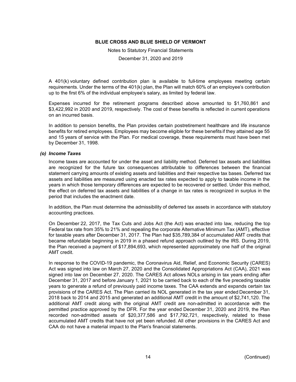Notes to Statutory Financial Statements

December 31, 2020 and 2019

A 401(k) voluntary defined contribution plan is available to full-time employees meeting certain requirements. Under the terms of the 401(k) plan, the Plan will match 60% of an employee's contribution up to the first 6% of the individual employee's salary, as limited by federal law.

Expenses incurred for the retirement programs described above amounted to \$1,760,861 and \$3,422,992 in 2020 and 2019, respectively. The cost of these benefits is reflected in current operations on an incurred basis.

In addition to pension benefits, the Plan provides certain postretirement healthcare and life insurance benefits for retired employees. Employees may become eligible for these benefits if they attained age 55 and 15 years of service with the Plan. For medical coverage, these requirements must have been met by December 31, 1998.

#### *(o) Income Taxes*

Income taxes are accounted for under the asset and liability method. Deferred tax assets and liabilities are recognized for the future tax consequences attributable to differences between the financial statement carrying amounts of existing assets and liabilities and their respective tax bases. Deferred tax assets and liabilities are measured using enacted tax rates expected to apply to taxable income in the years in which those temporary differences are expected to be recovered or settled. Under this method, the effect on deferred tax assets and liabilities of a change in tax rates is recognized in surplus in the period that includes the enactment date.

In addition, the Plan must determine the admissibility of deferred tax assets in accordance with statutory accounting practices.

On December 22, 2017, the Tax Cuts and Jobs Act (the Act) was enacted into law, reducing the top Federal tax rate from 35% to 21% and repealing the corporate Alternative Minimum Tax (AMT), effective for taxable years after December 31, 2017. The Plan had \$35,789,384 of accumulated AMT credits that became refundable beginning in 2019 in a phased refund approach outlined by the IRS. During 2019, the Plan received a payment of \$17,894,693, which represented approximately one half of the original AMT credit.

In response to the COVID-19 pandemic, the Coronavirus Aid, Relief, and Economic Security (CARES) Act was signed into law on March 27, 2020 and the Consolidated Appropriations Act (CAA), 2021 was signed into law on December 27, 2020. The CARES Act allows NOLs arising in tax years ending after December 31, 2017 and before January 1, 2021 to be carried back to each of the five preceding taxable years to generate a refund of previously paid income taxes. The CAA extends and expands certain tax provisions of the CARES Act. The Plan carried its NOL generated in the tax year ended December 31, 2018 back to 2014 and 2015 and generated an additional AMT credit in the amount of \$2,741,120. The additional AMT credit along with the original AMT credit are non-admitted in accordance with the permitted practice approved by the DFR. For the year ended December 31, 2020 and 2019, the Plan recorded non-admitted assets of \$20,377,586 and \$17,792,721, respectively, related to these accumulated AMT credits that have not yet been refunded. All other provisions in the CARES Act and CAA do not have a material impact to the Plan's financial statements.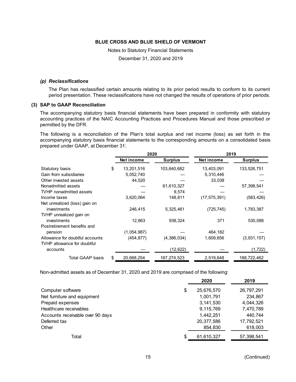Notes to Statutory Financial Statements

December 31, 2020 and 2019

#### *(p) Reclassifications*

The Plan has reclassified certain amounts relating to its prior period results to conform to its current period presentation. These reclassifications have not changed the results of operations of prior periods.

#### **(3) SAP to GAAP Reconciliation**

The accompanying statutory basis financial statements have been prepared in conformity with statutory accounting practices of the NAIC Accounting Practices and Procedures Manual and those prescribed or permitted by the DFR.

The following is a reconciliation of the Plan's total surplus and net income (loss) as set forth in the accompanying statutory basis financial statements to the corresponding amounts on a consolidated basis prepared under GAAP, at December 31:

|                                 |    | 2020        |                | 2019           |                |
|---------------------------------|----|-------------|----------------|----------------|----------------|
|                                 |    | Net income  | <b>Surplus</b> | Net income     | <b>Surplus</b> |
| Statutory basis                 | \$ | 13,201,516  | 103,640,682    | 13,403,091     | 133,526,751    |
| Gain from subsidiaries          |    | 5,052,740   |                | 5,310,446      |                |
| Other invested assets           |    | 44,520      |                | 33,038         |                |
| Nonadmitted assets              |    |             | 61,610,327     |                | 57,398,541     |
| TVHP nonadmitted assets         |    |             | 9.574          |                |                |
| Income taxes                    |    | 3,620,064   | 148,811        | (17, 575, 391) | (583, 426)     |
| Net unrealized (loss) gain on   |    |             |                |                |                |
| investments                     |    | 246.415     | 5,325,461      | (725, 745)     | 1,783,387      |
| TVHP unrealized gain on         |    |             |                |                |                |
| investments                     |    | 12,863      | 938,324        | 371            | 530,088        |
| Postretirement benefits and     |    |             |                |                |                |
| pension                         |    | (1,054,987) |                | 464,182        |                |
| Allowance for doubtful accounts |    | (454, 877)  | (4,386,034)    | 1,609,656      | (3,931,157)    |
| TVHP allowance for doubtful     |    |             |                |                |                |
| accounts                        |    |             | (12, 622)      |                | (1,722)        |
| Total GAAP basis                | S. | 20,668,254  | 167,274,523    | 2,519,648      | 188,722,462    |

Non-admitted assets as of December 31, 2020 and 2019 are comprised of the following:

|                                  | 2020             | 2019       |
|----------------------------------|------------------|------------|
| Computer software                | \$<br>25,676,570 | 26,797,291 |
| Net furniture and equipment      | 1,001,791        | 234,867    |
| Prepaid expenses                 | 3,141,530        | 4,044,326  |
| Healthcare receivables           | 9,115,769        | 7,470,789  |
| Accounts receivable over 90 days | 1,442,251        | 440,744    |
| Deferred tax                     | 20,377,586       | 17,792,521 |
| Other                            | 854,830          | 618,003    |
| Total                            | \$<br>61,610,327 | 57,398,541 |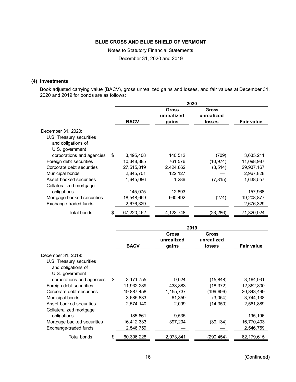Notes to Statutory Financial Statements

December 31, 2020 and 2019

#### **(4) Investments**

Book adjusted carrying value (BACV), gross unrealized gains and losses, and fair values at December 31, 2020 and 2019 for bonds are as follows:

|                            |    | 2020        |                              |                               |                   |
|----------------------------|----|-------------|------------------------------|-------------------------------|-------------------|
|                            |    | <b>BACV</b> | Gross<br>unrealized<br>gains | Gross<br>unrealized<br>losses | <b>Fair value</b> |
| December 31, 2020:         |    |             |                              |                               |                   |
| U.S. Treasury securities   |    |             |                              |                               |                   |
| and obligations of         |    |             |                              |                               |                   |
| U.S. government            |    |             |                              |                               |                   |
| corporations and agencies  | \$ | 3,495,408   | 140,512                      | (709)                         | 3,635,211         |
| Foreign debt securities    |    | 10,348,385  | 761,576                      | (10, 974)                     | 11,098,987        |
| Corporate debt securities  |    | 27,515,819  | 2,424,862                    | (3, 514)                      | 29,937,167        |
| Municipal bonds            |    | 2,845,701   | 122, 127                     |                               | 2,967,828         |
| Asset backed securities    |    | 1,645,086   | 1,286                        | (7, 815)                      | 1,638,557         |
| Collateralized mortgage    |    |             |                              |                               |                   |
| obligations                |    | 145,075     | 12,893                       |                               | 157,968           |
| Mortgage backed securities |    | 18,548,659  | 660,492                      | (274)                         | 19,208,877        |
| Exchange-traded funds      |    | 2,676,329   |                              |                               | 2,676,329         |
| Total bonds                | S  | 67,220,462  | 4, 123, 748                  | (23, 286)                     | 71,320,924        |

|                            | 2019              |                     |                     |            |
|----------------------------|-------------------|---------------------|---------------------|------------|
|                            |                   | Gross<br>unrealized | Gross<br>unrealized |            |
|                            | <b>BACV</b>       | gains               | <b>losses</b>       | Fair value |
| December 31, 2019:         |                   |                     |                     |            |
| U.S. Treasury securities   |                   |                     |                     |            |
| and obligations of         |                   |                     |                     |            |
| U.S. government            |                   |                     |                     |            |
| corporations and agencies  | \$<br>3, 171, 755 | 9,024               | (15, 848)           | 3,164,931  |
| Foreign debt securities    | 11,932,289        | 438,883             | (18, 372)           | 12,352,800 |
| Corporate debt securities  | 19,887,458        | 1, 155, 737         | (199, 696)          | 20,843,499 |
| Municipal bonds            | 3,685,833         | 61,359              | (3,054)             | 3,744,138  |
| Asset backed securities    | 2,574,140         | 2,099               | (14, 350)           | 2,561,889  |
| Collateralized mortgage    |                   |                     |                     |            |
| obligations                | 185,661           | 9,535               |                     | 195,196    |
| Mortgage backed securities | 16,412,333        | 397,204             | (39, 134)           | 16,770,403 |
| Exchange-traded funds      | 2,546,759         |                     |                     | 2,546,759  |
| Total bonds                | \$<br>60,396,228  | 2,073,841           | (290,454)           | 62,179,615 |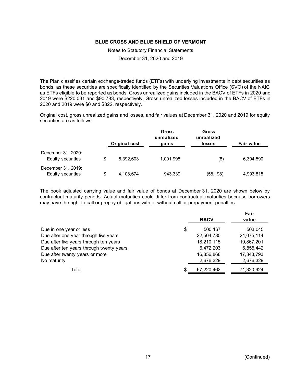Notes to Statutory Financial Statements

December 31, 2020 and 2019

The Plan classifies certain exchange-traded funds (ETFs) with underlying investments in debt securities as bonds, as these securities are specifically identified by the Securities Valuations Office (SVO) of the NAIC as ETFs eligible to be reported as bonds. Gross unrealized gains included in the BACV of ETFs in 2020 and 2019 were \$220,031 and \$90,783, respectively. Gross unrealized losses included in the BACV of ETFs in 2020 and 2019 were \$0 and \$322, respectively.

Original cost, gross unrealized gains and losses, and fair values at December 31, 2020 and 2019 for equity securities are as follows:

|                                         |    | Original cost | Gross<br>unrealized<br>gains | Gross<br>unrealized<br>losses | <b>Fair value</b> |
|-----------------------------------------|----|---------------|------------------------------|-------------------------------|-------------------|
| December 31, 2020:<br>Equity securities | \$ | 5,392,603     | 1,001,995                    | (8)                           | 6,394,590         |
| December 31, 2019:<br>Equity securities | S  | 4,108,674     | 943,339                      | (58, 198)                     | 4,993,815         |

The book adjusted carrying value and fair value of bonds at December 31, 2020 are shown below by contractual maturity periods. Actual maturities could differ from contractual maturities because borrowers may have the right to call or prepay obligations with or without call or prepayment penalties.

|                                          |    |             | Fair       |
|------------------------------------------|----|-------------|------------|
|                                          |    | <b>BACV</b> | value      |
| Due in one year or less                  | \$ | 500,167     | 503,045    |
| Due after one year through five years    |    | 22,504,780  | 24,075,114 |
| Due after five years through ten years   |    | 18,210,115  | 19,867,201 |
| Due after ten years through twenty years |    | 6,472,203   | 6,855,442  |
| Due after twenty years or more           |    | 16,856,868  | 17,343,793 |
| No maturity                              |    | 2,676,329   | 2,676,329  |
| Total                                    | S. | 67,220,462  | 71,320,924 |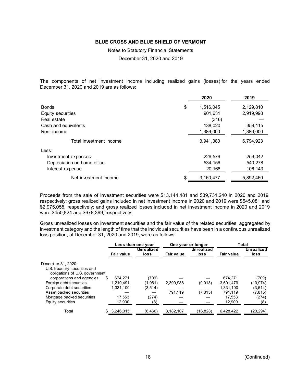Notes to Statutory Financial Statements

December 31, 2020 and 2019

The components of net investment income including realized gains (losses) for the years ended December 31, 2020 and 2019 are as follows:

| 2020            | 2019      |
|-----------------|-----------|
| \$<br>1,516,045 | 2,129,810 |
| 901,631         | 2,919,998 |
| (316)           |           |
| 138,020         | 359,115   |
| 1,386,000       | 1,386,000 |
| 3,941,380       | 6,794,923 |
|                 |           |
| 226,579         | 256,042   |
| 534,156         | 540,278   |
| 20,168          | 106,143   |
| 3,160,477       | 5,892,460 |
|                 |           |

Proceeds from the sale of investment securities were \$13,144,481 and \$39,731,240 in 2020 and 2019, respectively; gross realized gains included in net investment income in 2020 and 2019 were \$545,081 and \$2,975,055, respectively; and gross realized losses included in net investment income in 2020 and 2019 were \$450,824 and \$678,399, respectively.

Gross unrealized losses on investment securities and the fair value of the related securities, aggregated by investment category and the length of time that the individual securities have been in a continuous unrealized loss position, at December 31, 2020 and 2019, were as follows:

|                                                                |                   | Less than one year |                    |            | One year or longer | <b>Total</b>      |                    |  |
|----------------------------------------------------------------|-------------------|--------------------|--------------------|------------|--------------------|-------------------|--------------------|--|
|                                                                | <b>Fair value</b> |                    | Unrealized<br>loss | Fair value | Unrealized<br>loss | <b>Fair value</b> | Unrealized<br>loss |  |
| December 31, 2020:                                             |                   |                    |                    |            |                    |                   |                    |  |
| U.S. treasury securities and<br>obligations of U.S. government |                   |                    |                    |            |                    |                   |                    |  |
| corporations and agencies                                      | 674.271<br>S      |                    | (709)              |            |                    | 674,271           | (709)              |  |
| Foreign debt securities                                        | 1.210.491         |                    | (1,961)            | 2,390,988  | (9,013)            | 3,601,479         | (10.974)           |  |
| Corporate debt securities                                      | 1,331,100         |                    | (3.514)            |            |                    | 1,331,100         | (3.514)            |  |
| Asset backed securities                                        |                   |                    |                    | 791,119    | (7, 815)           | 791.119           | (7, 815)           |  |
| Mortgage backed securities                                     |                   | 17,553             | (274)              |            |                    | 17.553            | (274)              |  |
| Equity securities                                              |                   | 12,900             | (8)                |            |                    | 12,900            | (8)                |  |
| Total                                                          | 3,246,315<br>S    |                    | (6, 466)           | 3,182,107  | (16,828)           | 6,428,422         | (23, 294)          |  |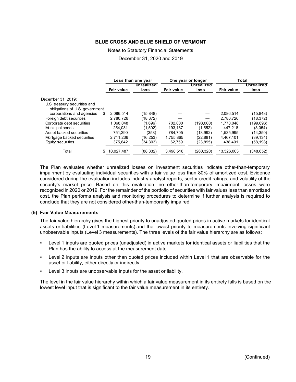#### Notes to Statutory Financial Statements

December 31, 2020 and 2019

|                                                                |                   | Less than one year |                   | One year or longer        | Total             |                    |  |
|----------------------------------------------------------------|-------------------|--------------------|-------------------|---------------------------|-------------------|--------------------|--|
|                                                                | <b>Fair value</b> | Unrealized<br>loss | <b>Fair value</b> | <b>Unrealized</b><br>loss | <b>Fair value</b> | Unrealized<br>loss |  |
| December 31, 2019:                                             |                   |                    |                   |                           |                   |                    |  |
| U.S. treasury securities and<br>obligations of U.S. government |                   |                    |                   |                           |                   |                    |  |
| corporations and agencies<br>S                                 | 2.086.514         | (15, 848)          |                   |                           | 2,086,514         | (15, 848)          |  |
| Foreign debt securities                                        | 2,780,726         | (18,372)           |                   |                           | 2,780,726         | (18, 372)          |  |
| Corporate debt securities                                      | 1.068.048         | (1.696)            | 702.000           | (198.000)                 | 1.770.048         | (199, 696)         |  |
| Municipal bonds                                                | 254.031           | (1,502)            | 193,187           | (1,552)                   | 447.218           | (3,054)            |  |
| Asset backed securities                                        | 751.290           | (358)              | 784.705           | (13.992)                  | 1.535.995         | (14,350)           |  |
| Mortgage backed securities                                     | 2,711,236         | (16, 253)          | 1,755,865         | (22, 881)                 | 4,467,101         | (39, 134)          |  |
| Equity securities                                              | 375,642           | (34,303)           | 62,759            | (23,895)                  | 438,401           | (58,198)           |  |
| Total                                                          | 10.027.487        | (88, 332)          | 3,498,516         | (260,320)                 | 13,526,003        | (348, 652)         |  |

The Plan evaluates whether unrealized losses on investment securities indicate other-than-temporary impairment by evaluating individual securities with a fair value less than 80% of amortized cost. Evidence considered during the evaluation includes industry analyst reports, sector credit ratings, and volatility of the security's market price. Based on this evaluation, no other-than-temporary impairment losses were recognized in 2020 or 2019. For the remainder of the portfolio of securities with fair values less than amortized cost, the Plan performs analysis and monitoring procedures to determine if further analysis is required to conclude that they are not considered other-than-temporarily impaired.

#### **(5) Fair Value Measurements**

The fair value hierarchy gives the highest priority to unadjusted quoted prices in active markets for identical assets or liabilities (Level 1 measurements) and the lowest priority to measurements involving significant unobservable inputs (Level 3 measurements). The three levels of the fair value hierarchy are as follows:

- Level 1 inputs are quoted prices (unadjusted) in active markets for identical assets or liabilities that the Plan has the ability to access at the measurement date.
- Level 2 inputs are inputs other than quoted prices included within Level 1 that are observable for the asset or liability, either directly or indirectly.
- Level 3 inputs are unobservable inputs for the asset or liability.

The level in the fair value hierarchy within which a fair value measurement in its entirety falls is based on the lowest level input that is significant to the fair value measurement in its entirety.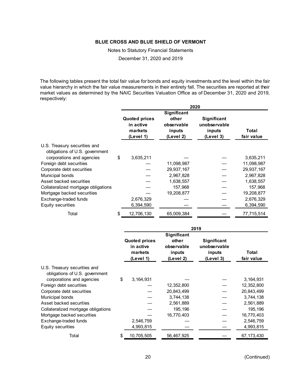Notes to Statutory Financial Statements

December 31, 2020 and 2019

The following tables present the total fair value for bonds and equity investments and the level within the fair value hierarchy in which the fair value measurements in their entirety fall. The securities are reported at their market values as determined by the NAIC Securities Valuation Office as of December 31, 2020 and 2019, respectively:

|                                                                | 2020                                         |                               |                                       |            |  |  |  |
|----------------------------------------------------------------|----------------------------------------------|-------------------------------|---------------------------------------|------------|--|--|--|
|                                                                |                                              |                               |                                       |            |  |  |  |
|                                                                | <b>Quoted prices</b><br>in active<br>markets | other<br>observable<br>inputs | Significant<br>unobservable<br>inputs | Total      |  |  |  |
|                                                                | (Level 1)                                    | (Level 2)                     | (Level 3)                             | fair value |  |  |  |
| U.S. Treasury securities and<br>obligations of U.S. government |                                              |                               |                                       |            |  |  |  |
| corporations and agencies                                      | \$<br>3,635,211                              |                               |                                       | 3,635,211  |  |  |  |
| Foreign debt securities                                        |                                              | 11,098,987                    |                                       | 11,098,987 |  |  |  |
| Corporate debt securities                                      |                                              | 29,937,167                    |                                       | 29,937,167 |  |  |  |
| Municipal bonds                                                |                                              | 2,967,828                     |                                       | 2,967,828  |  |  |  |
| Asset backed securities                                        |                                              | 1,638,557                     |                                       | 1,638,557  |  |  |  |
| Collateralized mortgage obligations                            |                                              | 157,968                       |                                       | 157,968    |  |  |  |
| Mortgage backed securities                                     |                                              | 19,208,877                    |                                       | 19,208,877 |  |  |  |
| Exchange-traded funds                                          | 2,676,329                                    |                               |                                       | 2,676,329  |  |  |  |
| Equity securities                                              | 6,394,590                                    |                               |                                       | 6,394,590  |  |  |  |
| Total                                                          | \$<br>12,706,130                             | 65,009,384                    |                                       | 77,715,514 |  |  |  |

|                                                                | 2019 |                                                           |                                            |                                                    |                     |  |  |
|----------------------------------------------------------------|------|-----------------------------------------------------------|--------------------------------------------|----------------------------------------------------|---------------------|--|--|
|                                                                |      |                                                           |                                            |                                                    |                     |  |  |
|                                                                |      | <b>Quoted prices</b><br>in active<br>markets<br>(Level 1) | other<br>observable<br>inputs<br>(Level 2) | Significant<br>unobservable<br>inputs<br>(Level 3) | Total<br>fair value |  |  |
| U.S. Treasury securities and<br>obligations of U.S. government |      |                                                           |                                            |                                                    |                     |  |  |
| corporations and agencies                                      | \$   | 3,164,931                                                 |                                            |                                                    | 3, 164, 931         |  |  |
| Foreign debt securities                                        |      |                                                           | 12,352,800                                 |                                                    | 12,352,800          |  |  |
| Corporate debt securities                                      |      |                                                           | 20,843,499                                 |                                                    | 20,843,499          |  |  |
| Municipal bonds                                                |      |                                                           | 3,744,138                                  |                                                    | 3,744,138           |  |  |
| Asset backed securities                                        |      |                                                           | 2,561,889                                  |                                                    | 2,561,889           |  |  |
| Collateralized mortgage obligations                            |      |                                                           | 195,196                                    |                                                    | 195,196             |  |  |
| Mortgage backed securities                                     |      |                                                           | 16,770,403                                 |                                                    | 16,770,403          |  |  |
| Exchange-traded funds                                          |      | 2,546,759                                                 |                                            |                                                    | 2,546,759           |  |  |
| Equity securities                                              |      | 4,993,815                                                 |                                            |                                                    | 4,993,815           |  |  |
| Total                                                          | \$   | 10,705,505                                                | 56,467,925                                 |                                                    | 67, 173, 430        |  |  |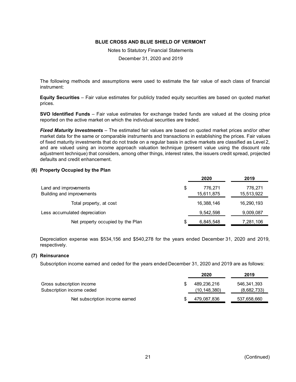Notes to Statutory Financial Statements

December 31, 2020 and 2019

The following methods and assumptions were used to estimate the fair value of each class of financial instrument:

**Equity Securities** – Fair value estimates for publicly traded equity securities are based on quoted market prices.

**SVO Identified Funds** – Fair value estimates for exchange traded funds are valued at the closing price reported on the active market on which the individual securities are traded.

*Fixed Maturity Investments* – The estimated fair values are based on quoted market prices and/or other market data for the same or comparable instruments and transactions in establishing the prices. Fair values of fixed maturity investments that do not trade on a regular basis in active markets are classified as Level 2, and are valued using an income approach valuation technique (present value using the discount rate adjustment technique) that considers, among other things, interest rates, the issuers credit spread, projected defaults and credit enhancement.

#### **(6) Property Occupied by the Plan**

|                                   | 2020          | 2019       |
|-----------------------------------|---------------|------------|
| Land and improvements             | \$<br>776.271 | 776,271    |
| Building and improvements         | 15,611,875    | 15,513,922 |
| Total property, at cost           | 16,388,146    | 16,290,193 |
| Less accumulated depreciation     | 9,542,598     | 9,009,087  |
| Net property occupied by the Plan | 6,845,548     | 7,281,106  |

Depreciation expense was \$534,156 and \$540,278 for the years ended December 31, 2020 and 2019, respectively.

#### **(7) Reinsurance**

Subscription income earned and ceded for the years ended December 31, 2020 and 2019 are as follows:

|                                | 2020           | 2019        |
|--------------------------------|----------------|-------------|
| Gross subscription income      | 489.236.216    | 546,341,393 |
| Subscription income ceded      | (10, 148, 380) | (8,682,733) |
| Net subscription income earned | 479,087,836    | 537,658,660 |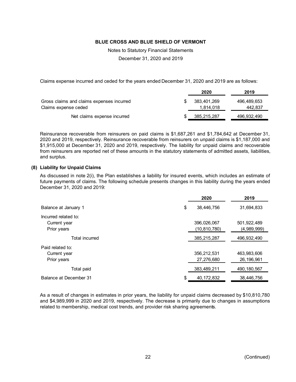Notes to Statutory Financial Statements

December 31, 2020 and 2019

Claims expense incurred and ceded for the years ended December 31, 2020 and 2019 are as follows:

|                                                                   | 2020                     | 2019                   |
|-------------------------------------------------------------------|--------------------------|------------------------|
| Gross claims and claims expenses incurred<br>Claims expense ceded | 383.401.269<br>1.814.018 | 496.489.653<br>442,837 |
| Net claims expense incurred                                       | 385.215.287              | 496,932,490            |

Reinsurance recoverable from reinsurers on paid claims is \$1,687,261 and \$1,784,642 at December 31, 2020 and 2019, respectively. Reinsurance recoverable from reinsurers on unpaid claims is \$1,187,000 and \$1,915,000 at December 31, 2020 and 2019, respectively. The liability for unpaid claims and recoverable from reinsurers are reported net of these amounts in the statutory statements of admitted assets, liabilities, and surplus.

#### **(8) Liability for Unpaid Claims**

As discussed in note 2(i), the Plan establishes a liability for insured events, which includes an estimate of future payments of claims. The following schedule presents changes in this liability during the years ended December 31, 2020 and 2019:

|                        |    | 2020           | 2019          |
|------------------------|----|----------------|---------------|
| Balance at January 1   | \$ | 38,446,756     | 31,694,833    |
| Incurred related to:   |    |                |               |
| Current year           |    | 396,026,067    | 501,922,489   |
| Prior years            |    | (10, 810, 780) | (4,989,999)   |
| Total incurred         |    | 385,215,287    | 496,932,490   |
| Paid related to:       |    |                |               |
| Current year           |    | 356,212,531    | 463,983,606   |
| Prior years            |    | 27,276,680     | 26, 196, 961  |
| Total paid             |    | 383,489,211    | 490, 180, 567 |
| Balance at December 31 | S  | 40, 172, 832   | 38,446,756    |

As a result of changes in estimates in prior years, the liability for unpaid claims decreased by \$10,810,780 and \$4,989,999 in 2020 and 2019, respectively. The decrease is primarily due to changes in assumptions related to membership, medical cost trends, and provider risk sharing agreements.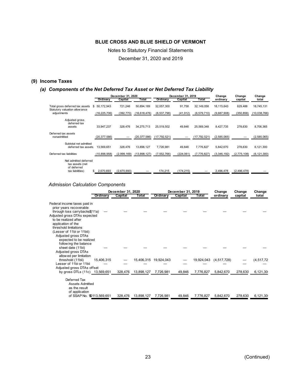Notes to Statutory Financial Statements December 31, 2020 and 2019

# **(9) Income Taxes**

#### *(a) Components of the Net Deferred Tax Asset or Net Deferred Tax Liability*

|                                                                         | December 31, 2020 |             |              |                | December 31, 2019 |               |             | Change      | Change        |
|-------------------------------------------------------------------------|-------------------|-------------|--------------|----------------|-------------------|---------------|-------------|-------------|---------------|
|                                                                         | Ordinary          | Capital     | Total        | Ordinary       | Capital           | Total         | ordinary    | capital     | total         |
| Total gross deferred tax assets<br>\$<br>Statutory valuation allow ance | 50.172.943        | 721.246     | 50.894.189   | 32.057.300     | 91.758            | 32.149.058    | 18.115.643  | 629.488     | 18,745,131    |
| adjustments                                                             | (16, 225, 706)    | (392, 770)  | (16,618,476) | (6, 537, 798)  | (41, 912)         | (6, 579, 710) | (9,687,908) | (350, 858)  | (10,038,766)  |
| Adjusted gross<br>deferred tax<br>assets                                | 33.947.237        | 328,476     | 34.275.713   | 25.519.502     | 49.846            | 25.569.348    | 8.427.735   | 278.630     | 8,706,365     |
| Deferred tax assets<br>nonadmitted                                      | (20, 377, 586)    |             | (20,377,586) | (17, 792, 521) |                   | (17,792,521)  | (2,585,065) |             | (2,585,065)   |
| Subtotal net admitted<br>deferred tax assets                            | 13.569.651        | 328,476     | 13,898,127   | 7,726,981      | 49,846            | 7,776,827     | 5,842,670   | 278,630     | 6,121,300     |
| Deferred tax liabilities                                                | (10,898,958)      | (2,999,169) | (13,898,127) | (7,552,766)    | (224, 061)        | (7,776,827)   | (3,346,192) | (2,775,108) | (6, 121, 300) |
| Net admitted deferred<br>tax assets (net<br>of deferred                 |                   |             |              |                |                   |               |             |             |               |
| tax liabilities)                                                        | 2,670,693         | (2,670,693) |              | 174,215        | (174, 215)        |               | 2,496,478   | (2,496,478) |               |

#### *Admission Calculation Components*

|                                                         | December 31, 2020 |            |            | December 31, 2019 |            | Change      | Change  | Change       |
|---------------------------------------------------------|-------------------|------------|------------|-------------------|------------|-------------|---------|--------------|
| Ordinary                                                | Capital           | Total      | Ordinary   | Capital           | Total      | ordinary    | capital | total        |
| Federal income taxes paid in<br>prior years recoverable |                   |            |            |                   |            |             |         |              |
| through loss carrybacks\$(11a)                          |                   |            |            |                   |            |             |         |              |
| Adjusted gross DTAs expected                            |                   |            |            |                   |            |             |         |              |
| to be realized after                                    |                   |            |            |                   |            |             |         |              |
| application of the                                      |                   |            |            |                   |            |             |         |              |
| threshold limitations<br>(Lesser of 11bi or 11bii):     |                   |            |            |                   |            |             |         |              |
| Adjusted gross DTAs                                     |                   |            |            |                   |            |             |         |              |
| expected to be realized                                 |                   |            |            |                   |            |             |         |              |
| following the balance                                   |                   |            |            |                   |            |             |         |              |
| sheet date (11bi)                                       |                   |            |            |                   |            |             |         |              |
| Adjusted gross DTAs                                     |                   |            |            |                   |            |             |         |              |
| allowed per limitation                                  |                   |            |            |                   |            |             |         |              |
| threshold (11bii)<br>15,406,315                         |                   | 15,406,315 | 19,924,043 |                   | 19,924,043 | (4,517,728) |         | (4, 517, 72) |
| Lesser of 11bi or 11bii<br>Adjusted gross DTAs offset   |                   |            |            |                   |            |             |         |              |
| by gross DTLs (11c) 13,569,651                          | 328,476           | 13,898,127 | 7,726,981  | 49,846            | 7,776,827  | 5,842,670   | 278,630 | 6,121,30     |
|                                                         |                   |            |            |                   |            |             |         |              |
| Deferred Tax                                            |                   |            |            |                   |            |             |         |              |
| <b>Assets Admitted</b>                                  |                   |            |            |                   |            |             |         |              |
| as the result                                           |                   |            |            |                   |            |             |         |              |
| of application                                          |                   |            |            |                   |            |             |         |              |
| of SSAP No. 100113,569,651                              | 328,476           | 13,898,127 | 7,726,981  | 49,846            | 7,776,827  | 5,842,670   | 278,630 | 6,121,30     |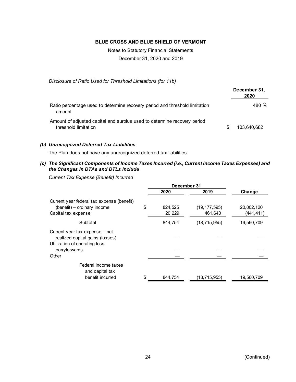Notes to Statutory Financial Statements December 31, 2020 and 2019

*Disclosure of Ratio Used for Threshold Limitations (for 11b)*

|                                                                                                  | December 31,<br>2020 |
|--------------------------------------------------------------------------------------------------|----------------------|
| Ratio percentage used to determine recovery period and threshold limitation<br>amount            | 480 %                |
| Amount of adjusted capital and surplus used to determine recovery period<br>threshold limitation | 103.640.682          |

#### *(b) Unrecognized Deferred Tax Liabilities*

The Plan does not have any unrecognized deferred tax liabilities.

*(c) The Significant Components of Income Taxes Incurred (i.e., Current Income Taxes Expenses) and the Changes in DTAs and DTLs include*

*Current Tax Expense (Benefit) Incurred*

|                                                                                                    | December 31 |         |                |            |
|----------------------------------------------------------------------------------------------------|-------------|---------|----------------|------------|
|                                                                                                    |             | 2020    | 2019           | Change     |
| Current year federal tax expense (benefit)<br>(benefit) – ordinary income                          | \$          | 824,525 | (19, 177, 595) | 20,002,120 |
| Capital tax expense                                                                                |             | 20,229  | 461,640        | (441, 411) |
| Subtotal                                                                                           |             | 844,754 | (18, 715, 955) | 19,560,709 |
| Current year tax expense - net<br>realized capital gains (losses)<br>Utilization of operating loss |             |         |                |            |
| carryforwards                                                                                      |             |         |                |            |
| Other                                                                                              |             |         |                |            |
| Federal income taxes<br>and capital tax                                                            |             |         |                |            |
| benefit incurred                                                                                   | \$          | 844.754 | (18,715,955)   | 19,560,709 |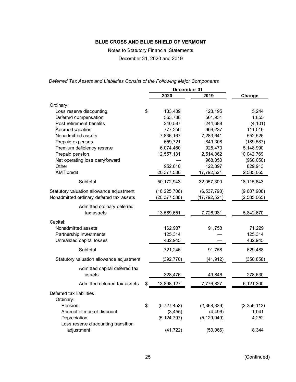Notes to Statutory Financial Statements

December 31, 2020 and 2019

*Deferred Tax Assets and Liabilities Consist of the Following Major Components*

|                                          |                   | December 31    |              |
|------------------------------------------|-------------------|----------------|--------------|
|                                          | 2020              | 2019           | Change       |
| Ordinary:                                |                   |                |              |
| Loss reserve discounting                 | \$<br>133,439     | 128,195        | 5,244        |
| Deferred compensation                    | 563,786           | 561,931        | 1,855        |
| Post retirement benefits                 | 240,587           | 244,688        | (4, 101)     |
| Accrued vacation                         | 777,256           | 666,237        | 111,019      |
| Nonadmitted assets                       | 7,836,167         | 7,283,641      | 552,526      |
| Prepaid expenses                         | 659,721           | 849,308        | (189, 587)   |
| Premium deficiency reserve               | 6,074,460         | 925,470        | 5,148,990    |
| Prepaid pension                          | 12,557,131        | 2,514,362      | 10,042,769   |
| Net operating loss carryforward          |                   | 968,050        | (968, 050)   |
| Other                                    | 952,810           | 122,897        | 829,913      |
| <b>AMT</b> credit                        | 20,377,586        | 17,792,521     | 2,585,065    |
| Subtotal                                 | 50, 172, 943      | 32,057,300     | 18, 115, 643 |
| Statutory valuation allowance adjustment | (16, 225, 706)    | (6, 537, 798)  | (9,687,908)  |
| Nonadmitted ordinary deferred tax assets | (20, 377, 586)    | (17, 792, 521) | (2,585,065)  |
| Admitted ordinary deferred               |                   |                |              |
| tax assets                               | 13,569,651        | 7,726,981      | 5,842,670    |
| Capital:                                 |                   |                |              |
| Nonadmitted assets                       | 162,987           | 91,758         | 71,229       |
| Partnership investments                  | 125,314           |                | 125,314      |
| Unrealized capital losses                | 432,945           |                | 432,945      |
| Subtotal                                 | 721,246           | 91,758         | 629,488      |
| Statutory valuation allowance adjustment | (392, 770)        | (41, 912)      | (350, 858)   |
| Admitted capital deferred tax            |                   |                |              |
| assets                                   | 328,476           | 49,846         | 278,630      |
| Admitted deferred tax assets             | \$<br>13,898,127  | 7,776,827      | 6,121,300    |
| Deferred tax liabilities:                |                   |                |              |
| Ordinary:                                |                   |                |              |
| Pension                                  | \$<br>(5,727,452) | (2,368,339)    | (3,359,113)  |
| Accrual of market discount               | (3, 455)          | (4, 496)       | 1,041        |
| Depreciation                             | (5, 124, 797)     | (5, 129, 049)  | 4,252        |
| Loss reserve discounting transition      |                   |                |              |
| adjustment                               | (41, 722)         | (50,066)       | 8,344        |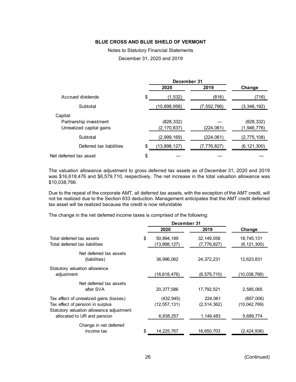# Notes to Statutory Financial Statements

December 31, 2020 and 2019

|                                                                |    | 2020                        | 2019        | Change                    |
|----------------------------------------------------------------|----|-----------------------------|-------------|---------------------------|
| Accrued dividends                                              | S  | (1, 532)                    | (816)       | (716)                     |
| Subtotal                                                       |    | (10, 898, 958)              | (7,552,766) | (3,346,192)               |
| Capital:<br>Partnership investment<br>Unrealized capital gains |    | (828, 332)<br>(2, 170, 837) | (224, 061)  | (828, 332)<br>(1,946,776) |
| Subtotal                                                       |    | (2,999,169)                 | (224, 061)  | (2,775,108)               |
| Deferred tax liabilities                                       | \$ | (13, 898, 127)              | (7,776,827) | (6, 121, 300)             |
| Net deferred tax asset                                         | \$ |                             |             |                           |

The valuation allowance adjustment to gross deferred tax assets as of December 31, 2020 and 2019 was \$16,618,476 and \$6,579,710, respectively. The net increase in the total valuation allowance was \$10,038,766.

Due to the repeal of the corporate AMT, all deferred tax assets, with the exception of the AMT credit, will not be realized due to the Section 833 deduction. Management anticipates that the AMT credit deferred tax asset will be realized because the credit is now refundable.

The change in the net deferred income taxes is comprised of the following:

|                                                                                                                         | December 31 |                              |                             |                           |
|-------------------------------------------------------------------------------------------------------------------------|-------------|------------------------------|-----------------------------|---------------------------|
|                                                                                                                         |             | 2020                         | 2019                        | Change                    |
| Total deferred tax assets<br>Total deferred tax liabilities                                                             | \$          | 50,894,189<br>(13,898,127)   | 32, 149, 058<br>(7,776,827) | 18,745,131<br>(6,121,300) |
| Net deferred tax assets<br>(liabilities)                                                                                |             | 36,996,062                   | 24,372,231                  | 12,623,831                |
| Statutory valuation allowance<br>adjustment                                                                             |             | (16,618,476)                 | (6, 579, 710)               | (10,038,766)              |
| Net deferred tax assets<br>after SVA                                                                                    |             | 20,377,586                   | 17,792,521                  | 2,585,065                 |
| Tax effect of unrealized gains (losses)<br>Tax effect of pension in surplus<br>Statutory valuation allowance adjustment |             | (432, 945)<br>(12, 557, 131) | 224,061<br>(2,514,362)      | (657,006)<br>(10,042,769) |
| allocated to UR and pension<br>Change in net deferred<br>income tax                                                     | \$          | 6,838,257<br>14,225,767      | 1,148,483<br>16,650,703     | 5,689,774<br>(2,424,936)  |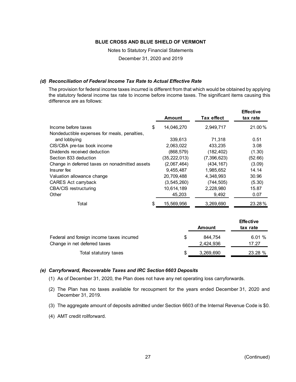Notes to Statutory Financial Statements

December 31, 2020 and 2019

## *(d) Reconciliation of Federal Income Tax Rate to Actual Effective Rate*

The provision for federal income taxes incurred is different from that which would be obtained by applying the statutory federal income tax rate to income before income taxes. The significant items causing this difference are as follows:

|                                                | <b>Amount</b>    | <b>Tax effect</b> | <b>Effective</b><br>tax rate |
|------------------------------------------------|------------------|-------------------|------------------------------|
| Income before taxes                            | \$<br>14,046,270 | 2,949,717         | 21.00%                       |
| Nondeductible expenses for meals, penalties,   |                  |                   |                              |
| and lobbying                                   | 339,613          | 71,318            | 0.51                         |
| CIS/CBA pre-tax book income                    | 2.063.022        | 433.235           | 3.08                         |
| Dividends received deduction                   | (868, 579)       | (182, 402)        | (1.30)                       |
| Section 833 deduction                          | (35, 222, 013)   | (7,396,623)       | (52.66)                      |
| Change in deferred taxes on nonadmitted assets | (2,067,464)      | (434, 167)        | (3.09)                       |
| Insurer fee                                    | 9,455,487        | 1,985,652         | 14.14                        |
| Valuation allowance change                     | 20,709,488       | 4.348.993         | 30.96                        |
| CARES Act carryback                            | (3, 545, 260)    | (744, 505)        | (5.30)                       |
| <b>CBA/CIS</b> restructuring                   | 10,614,189       | 2,228,980         | 15.87                        |
| Other                                          | 45,203           | 9,492             | 0.07                         |
| Total                                          | 15,569,956       | 3,269,690         | 23.28%                       |

|                                           |   |           | <b>Effective</b> |
|-------------------------------------------|---|-----------|------------------|
|                                           |   | Amount    | tax rate         |
| Federal and foreign income taxes incurred | S | 844.754   | 6.01%            |
| Change in net deferred taxes              |   | 2,424,936 | 17.27            |
| Total statutory taxes                     | S | 3,269,690 | 23.28 %          |

#### *(e) Carryforward, Recoverable Taxes and IRC Section 6603 Deposits*

- (1) As of December 31, 2020, the Plan does not have any net operating loss carryforwards.
- (2) The Plan has no taxes available for recoupment for the years ended December 31, 2020 and December 31, 2019.
- (3) The aggregate amount of deposits admitted under Section 6603 of the Internal Revenue Code is \$0.
- (4) AMT credit rollforward.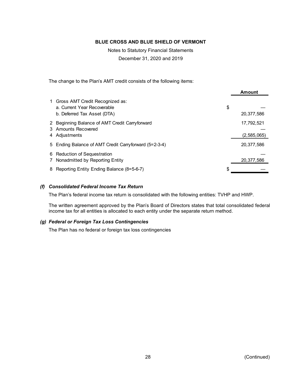Notes to Statutory Financial Statements

December 31, 2020 and 2019

The change to the Plan's AMT credit consists of the following items:

|                                                                                                 |                                                       | <b>Amount</b>             |
|-------------------------------------------------------------------------------------------------|-------------------------------------------------------|---------------------------|
| 1 Gross AMT Credit Recognized as:<br>a. Current Year Recoverable<br>b. Deferred Tax Asset (DTA) |                                                       | \$<br>20,377,586          |
| 3 Amounts Recovered<br>4 Adiustments                                                            | 2 Beginning Balance of AMT Credit Carryforward        | 17,792,521<br>(2,585,065) |
|                                                                                                 | 5 Ending Balance of AMT Credit Carryforward (5=2-3-4) | 20,377,586                |
| 6 Reduction of Sequestration<br>7 Nonadmitted by Reporting Entity                               |                                                       | 20,377,586                |
|                                                                                                 | 8 Reporting Entity Ending Balance (8=5-6-7)           | \$                        |

## *(f) Consolidated Federal Income Tax Return*

The Plan's federal income tax return is consolidated with the following entities: TVHP and HWP.

The written agreement approved by the Plan's Board of Directors states that total consolidated federal income tax for all entities is allocated to each entity under the separate return method.

#### *(g) Federal or Foreign Tax Loss Contingencies*

The Plan has no federal or foreign tax loss contingencies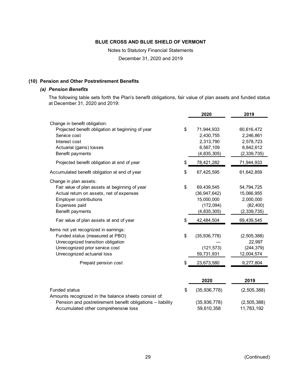Notes to Statutory Financial Statements

December 31, 2020 and 2019

#### **(10) Pension and Other Postretirement Benefits**

#### *(a) Pension Benefits*

The following table sets forth the Plan's benefit obligations, fair value of plan assets and funded status at December 31, 2020 and 2019:

|                                                                                                                                                                                            | 2020                                                                          | 2019                                                                |
|--------------------------------------------------------------------------------------------------------------------------------------------------------------------------------------------|-------------------------------------------------------------------------------|---------------------------------------------------------------------|
| Change in benefit obligation:<br>Projected benefit obligation at beginning of year<br>Service cost<br>Interest cost<br>Actuarial (gains) losses<br>Benefit payments                        | \$<br>71,944,933<br>2,430,755<br>2,313,790<br>6,567,109<br>(4, 835, 305)      | 60,616,472<br>2,246,861<br>2,578,723<br>8,842,612<br>(2, 339, 735)  |
| Projected benefit obligation at end of year                                                                                                                                                | \$<br>78,421,282                                                              | 71,944,933                                                          |
| Accumulated benefit obligation at end of year                                                                                                                                              | \$<br>67,425,595                                                              | 61,642,859                                                          |
| Change in plan assets:<br>Fair value of plan assets at beginning of year<br>Actual return on assets, net of expenses<br><b>Employer contributions</b><br>Expenses paid<br>Benefit payments | \$<br>69,439,545<br>(36, 947, 642)<br>15,000,000<br>(172, 094)<br>(4,835,305) | 54,794,725<br>15,066,955<br>2,000,000<br>(82, 400)<br>(2, 339, 735) |
| Fair value of plan assets at end of year                                                                                                                                                   | \$<br>42,484,504                                                              | 69,439,545                                                          |
| Items not yet recognized in earnings:<br>Funded status (measured at PBO)<br>Unrecognized transition obligation<br>Unrecognized prior service cost<br>Unrecognized actuarial loss           | \$<br>(35, 936, 778)<br>(121, 573)<br>59,731,931                              | (2,505,388)<br>22,997<br>(244, 379)<br>12,004,574                   |
| Prepaid pension cost                                                                                                                                                                       | \$<br>23,673,580                                                              | 9,277,804                                                           |
|                                                                                                                                                                                            | 2020                                                                          | 2019                                                                |
| <b>Funded status</b><br>Amounts recognized in the balance sheets consist of:<br>Pension and postretirement benefit obligations - liability                                                 | \$<br>(35, 936, 778)<br>(35, 936, 778)                                        | (2, 505, 388)<br>(2,505,388)                                        |
| Accumulated other comprehensive loss                                                                                                                                                       | 59,610,358                                                                    | 11,783,192                                                          |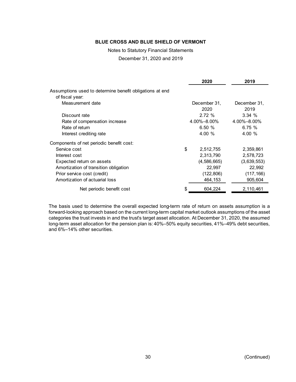Notes to Statutory Financial Statements

December 31, 2020 and 2019

|                                                                             | 2020                 | 2019                 |
|-----------------------------------------------------------------------------|----------------------|----------------------|
| Assumptions used to determine benefit obligations at end<br>of fiscal year: |                      |                      |
| Measurement date                                                            | December 31,<br>2020 | December 31,<br>2019 |
| Discount rate                                                               | 2.72%                | 3.34%                |
| Rate of compensation increase                                               | $4.00\% - 8.00\%$    | 4.00%-8.00%          |
| Rate of return                                                              | 6.50%                | 6.75%                |
| Interest crediting rate                                                     | 4.00 %               | 4.00 %               |
| Components of net periodic benefit cost:                                    |                      |                      |
| Service cost                                                                | \$<br>2,512,755      | 2,359,861            |
| Interest cost                                                               | 2,313,790            | 2,578,723            |
| Expected return on assets                                                   | (4,586,665)          | (3,639,553)          |
| Amortization of transition obligation                                       | 22,997               | 22,992               |
| Prior service cost (credit)                                                 | (122, 806)           | (117, 166)           |
| Amortization of actuarial loss                                              | 464,153              | 905,604              |
| Net periodic benefit cost                                                   | \$<br>604,224        | 2,110,461            |

The basis used to determine the overall expected long-term rate of return on assets assumption is a forward-looking approach based on the current long-term capital market outlook assumptions of the asset categories the trust invests in and the trust's target asset allocation. At December 31, 2020, the assumed long-term asset allocation for the pension plan is: 40%–50% equity securities, 41%–49% debt securities, and 6%–14% other securities.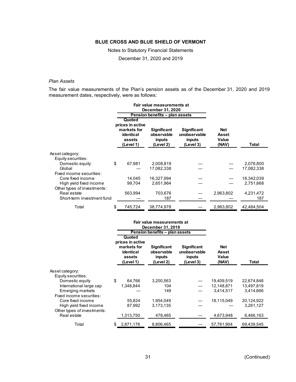Notes to Statutory Financial Statements

December 31, 2020 and 2019

#### *Plan Assets*

The fair value measurements of the Plan's pension assets as of the December 31, 2020 and 2019 measurement dates, respectively, were as follows:

|                             |                                                                               | Fair value measurements at                              |                                                           |                                |            |
|-----------------------------|-------------------------------------------------------------------------------|---------------------------------------------------------|-----------------------------------------------------------|--------------------------------|------------|
|                             |                                                                               | December 31, 2020                                       |                                                           |                                |            |
|                             |                                                                               | Pension benefits - plan assets                          |                                                           |                                |            |
|                             | Quoted<br>prices in active<br>markets for<br>identical<br>assets<br>(Level 1) | <b>Significant</b><br>observable<br>inputs<br>(Level 2) | <b>Significant</b><br>unobservable<br>inputs<br>(Level 3) | Net<br>Asset<br>Value<br>(NAV) | Total      |
| Asset category:             |                                                                               |                                                         |                                                           |                                |            |
| Equity securities:          |                                                                               |                                                         |                                                           |                                |            |
| Domestic equity             | \$<br>67.981                                                                  | 2,008,819                                               |                                                           |                                | 2,076,800  |
| Global                      |                                                                               | 17,082,338                                              |                                                           |                                | 17,082,338 |
| Fixed income securities:    |                                                                               |                                                         |                                                           |                                |            |
| Core fixed income           | 14.045                                                                        | 16.327.994                                              |                                                           |                                | 16,342,039 |
| High yield fixed income     | 99,704                                                                        | 2,651,964                                               |                                                           |                                | 2,751,668  |
| Other types of investments: |                                                                               |                                                         |                                                           |                                |            |
| Real estate                 | 563,994                                                                       | 703,676                                                 |                                                           | 2,963,802                      | 4,231,472  |
| Short-term investment fund  |                                                                               | 187                                                     |                                                           |                                | 187        |
| Total                       | \$<br>745,724                                                                 | 38,774,978                                              |                                                           | 2,963,802                      | 42,484,504 |

|                                                        |                                                                               | Fair value measurements at<br>December 31, 2019         |                                                           |                                       |            |
|--------------------------------------------------------|-------------------------------------------------------------------------------|---------------------------------------------------------|-----------------------------------------------------------|---------------------------------------|------------|
|                                                        |                                                                               | Pension benefits - plan assets                          |                                                           |                                       |            |
|                                                        | Quoted<br>prices in active<br>markets for<br>identical<br>assets<br>(Level 1) | <b>Significant</b><br>observable<br>inputs<br>(Level 2) | <b>Significant</b><br>unobservable<br>inputs<br>(Level 3) | <b>Net</b><br>Asset<br>Value<br>(NAV) | Total      |
| Asset category:<br>Equity securities:                  |                                                                               |                                                         |                                                           |                                       |            |
| Domestic equity                                        | \$<br>64,766                                                                  | 3,200,563                                               |                                                           | 19,409,519                            | 22,674,848 |
| International large cap                                | 1,348,844                                                                     | 104                                                     |                                                           | 12,148,871                            | 13,497,819 |
| Emerging markets<br>Fixed income securities:           |                                                                               | 149                                                     |                                                           | 3,414,517                             | 3,414,666  |
| Core fixed income                                      | 55,824                                                                        | 1,954,049                                               |                                                           | 18,115,049                            | 20,124,922 |
| High yield fixed income<br>Other types of investments: | 87,992                                                                        | 3,173,135                                               |                                                           |                                       | 3,261,127  |
| Real estate                                            | 1,313,750                                                                     | 478,465                                                 |                                                           | 4,673,948                             | 6,466,163  |
| Total                                                  | \$<br>2,871,176                                                               | 8,806,465                                               |                                                           | 57,761,904                            | 69,439,545 |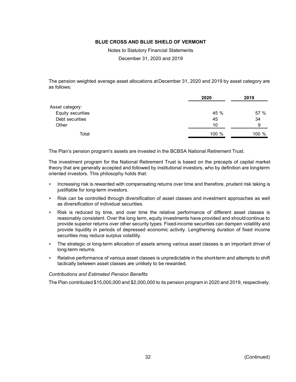Notes to Statutory Financial Statements

December 31, 2020 and 2019

The pension weighted average asset allocations at December 31, 2020 and 2019 by asset category are as follows:

|                   | 2020  | 2019  |
|-------------------|-------|-------|
| Asset category:   |       |       |
| Equity securities | 45 %  | 57 %  |
| Debt securities   | 45    | 34    |
| Other             | 10    | 9     |
| Total             | 100 % | 100 % |

The Plan's pension program's assets are invested in the BCBSA National Retirement Trust.

The investment program for the National Retirement Trust is based on the precepts of capital market theory that are generally accepted and followed by institutional investors, who by definition are long-term oriented investors. This philosophy holds that:

- Increasing risk is rewarded with compensating returns over time and therefore, prudent risk taking is justifiable for long-term investors.
- Risk can be controlled through diversification of asset classes and investment approaches as well as diversification of individual securities.
- Risk is reduced by time, and over time the relative performance of different asset classes is reasonably consistent. Over the long term, equity investments have provided and should continue to provide superior returns over other security types. Fixed-income securities can dampen volatility and provide liquidity in periods of depressed economic activity. Lengthening duration of fixed income securities may reduce surplus volatility.
- The strategic or long-term allocation of assets among various asset classes is an important driver of long-term returns.
- Relative performance of various asset classes is unpredictable in the short-term and attempts to shift tactically between asset classes are unlikely to be rewarded.

#### *Contributions and Estimated Pension Benefits*

The Plan contributed \$15,000,000 and \$2,000,000 to its pension program in 2020 and 2019, respectively.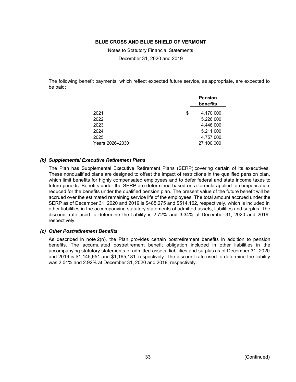Notes to Statutory Financial Statements December 31, 2020 and 2019

The following benefit payments, which reflect expected future service, as appropriate, are expected to be paid:

|                 | <b>Pension</b><br>benefits |
|-----------------|----------------------------|
| 2021            | \$<br>4,170,000            |
| 2022            | 5,226,000                  |
| 2023            | 4,446,000                  |
| 2024            | 5,211,000                  |
| 2025            | 4,757,000                  |
| Years 2026-2030 | 27,100,000                 |

#### *(b) Supplemental Executive Retirement Plans*

The Plan has Supplemental Executive Retirement Plans (SERP) covering certain of its executives. These nonqualified plans are designed to offset the impact of restrictions in the qualified pension plan, which limit benefits for highly compensated employees and to defer federal and state income taxes to future periods. Benefits under the SERP are determined based on a formula applied to compensation, reduced for the benefits under the qualified pension plan. The present value of the future benefit will be accrued over the estimated remaining service life of the employees. The total amount accrued under the SERP as of December 31, 2020 and 2019 is \$485,275 and \$514,162, respectively, which is included in other liabilities in the accompanying statutory statements of admitted assets, liabilities and surplus. The discount rate used to determine the liability is 2.72% and 3.34% at December 31, 2020 and 2019, respectively.

#### *(c) Other Postretirement Benefits*

As described in note 2(n), the Plan provides certain postretirement benefits in addition to pension benefits. The accumulated postretirement benefit obligation included in other liabilities in the accompanying statutory statements of admitted assets, liabilities and surplus as of December 31, 2020 and 2019 is \$1,145,651 and \$1,165,181, respectively. The discount rate used to determine the liability was 2.04% and 2.92% at December 31, 2020 and 2019, respectively.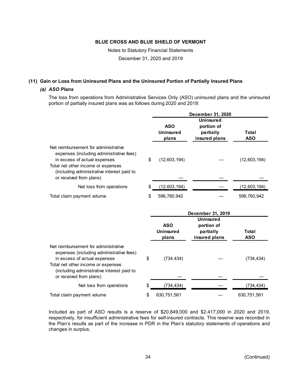Notes to Statutory Financial Statements

December 31, 2020 and 2019

## **(11) Gain or Loss from Uninsured Plans and the Uninsured Portion of Partially Insured Plans**

#### *(a) ASO Plans*

The loss from operations from Administrative Services Only (ASO) uninsured plans and the uninsured portion of partially insured plans was as follows during 2020 and 2019:

|                                                                                                                                                                                                                                 |                                         | December 31, 2020                                            |                            |
|---------------------------------------------------------------------------------------------------------------------------------------------------------------------------------------------------------------------------------|-----------------------------------------|--------------------------------------------------------------|----------------------------|
|                                                                                                                                                                                                                                 | <b>ASO</b><br><b>Uninsured</b><br>plans | <b>Uninsured</b><br>portion of<br>partially<br>insured plans | Total<br><b>ASO</b>        |
| Net reimbursement for administrative<br>expenses (including administrative fees)<br>in excess of actual expenses<br>Total net other income or expenses<br>(including administrative interest paid to<br>or received from plans) | \$<br>(12,603,194)                      |                                                              | (12,603,194)               |
| Net loss from operations                                                                                                                                                                                                        | \$<br>(12,603,194)                      |                                                              | (12,603,194)               |
| Total claim payment volume                                                                                                                                                                                                      | \$<br>596,760,942                       |                                                              | 596,760,942                |
|                                                                                                                                                                                                                                 |                                         |                                                              |                            |
|                                                                                                                                                                                                                                 |                                         | December 31, 2019                                            |                            |
|                                                                                                                                                                                                                                 | <b>ASO</b><br><b>Uninsured</b><br>plans | <b>Uninsured</b><br>portion of<br>partially<br>insured plans | <b>Total</b><br><b>ASO</b> |
| Net reimbursement for administrative<br>expenses (including administrative fees)<br>in excess of actual expenses<br>Total net other income or expenses<br>(including administrative interest paid to<br>or received from plans) | \$<br>(734, 434)                        |                                                              | (734, 434)                 |
| Net loss from operations                                                                                                                                                                                                        | \$<br>(734, 434)                        |                                                              | (734, 434)                 |

Included as part of ASO results is a reserve of \$20,849,000 and \$2,417,000 in 2020 and 2019, respectively, for insufficient administrative fees for self-insured contracts. This reserve was recorded in the Plan's results as part of the increase in PDR in the Plan's statutory statements of operations and changes in surplus.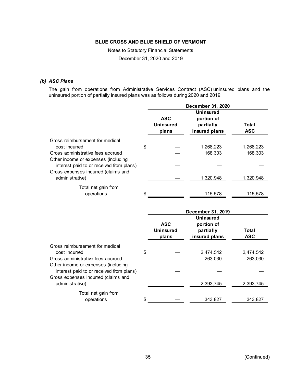Notes to Statutory Financial Statements

December 31, 2020 and 2019

#### *(b) ASC Plans*

The gain from operations from Administrative Services Contract (ASC) uninsured plans and the uninsured portion of partially insured plans was as follows during 2020 and 2019:

|                                                                                 |                                         | December 31, 2020                                            |                     |
|---------------------------------------------------------------------------------|-----------------------------------------|--------------------------------------------------------------|---------------------|
|                                                                                 | <b>ASC</b><br><b>Uninsured</b><br>plans | <b>Uninsured</b><br>portion of<br>partially<br>insured plans | Total<br><b>ASC</b> |
| Gross reimbursement for medical<br>cost incurred                                | \$                                      | 1,268,223                                                    | 1,268,223           |
| Gross administrative fees accrued                                               |                                         | 168,303                                                      | 168,303             |
| Other income or expenses (including<br>interest paid to or received from plans) |                                         |                                                              |                     |
| Gross expenses incurred (claims and<br>administrative)                          |                                         | 1,320,948                                                    | 1,320,948           |
| Total net gain from<br>operations                                               | \$                                      | 115,578                                                      | 115,578             |
|                                                                                 |                                         | December 31, 2019                                            |                     |
|                                                                                 | <b>ASC</b><br><b>Uninsured</b><br>plans | <b>Uninsured</b><br>portion of<br>partially<br>insured plans | Total<br><b>ASC</b> |

| Gross reimbursement for medical<br>cost incurred                                                                       | \$ | 2,474,542 | 2,474,542 |
|------------------------------------------------------------------------------------------------------------------------|----|-----------|-----------|
| Gross administrative fees accrued                                                                                      |    | 263,030   | 263,030   |
| Other income or expenses (including<br>interest paid to or received from plans)<br>Gross expenses incurred (claims and |    |           |           |
| administrative)                                                                                                        |    | 2,393,745 | 2,393,745 |
| Total net gain from<br>operations                                                                                      | \$ | 343.827   | 343.827   |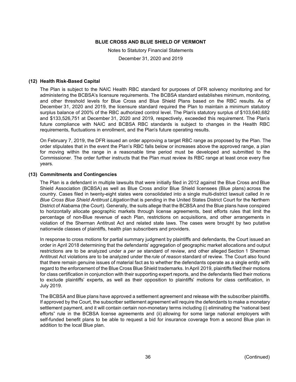Notes to Statutory Financial Statements

December 31, 2020 and 2019

#### **(12) Health Risk-Based Capital**

The Plan is subject to the NAIC Health RBC standard for purposes of DFR solvency monitoring and for administering the BCBSA's licensure requirements. The BCBSA standard establishes minimum, monitoring, and other threshold levels for Blue Cross and Blue Shield Plans based on the RBC results. As of December 31, 2020 and 2019, the licensure standard required the Plan to maintain a minimum statutory surplus balance of 200% of the RBC authorized control level. The Plan's statutory surplus of \$103,640,682 and \$133,526,751 at December 31, 2020 and 2019, respectively, exceeded this requirement. The Plan's future compliance with NAIC and BCBSA RBC standards is subject to changes in the Health RBC requirements, fluctuations in enrollment, and the Plan's future operating results.

On February 7, 2019, the DFR issued an order approving a target RBC range as proposed by the Plan. The order stipulates that in the event the Plan's RBC falls below or increases above the approved range, a plan for moving within the range in a reasonable time period must be developed and submitted to the Commissioner. The order further instructs that the Plan must review its RBC range at least once every five years.

#### **(13) Commitments and Contingencies**

The Plan is a defendant in multiple lawsuits that were initially filed in 2012 against the Blue Cross and Blue Shield Association (BCBSA) as well as Blue Cross and/or Blue Shield licensees (Blue plans) across the country. Cases filed in twenty-eight states were consolidated into a single multi-district lawsuit called *In re Blue Cross Blue Shield Antitrust Litigation* that is pending in the United States District Court for the Northern District of Alabama (the Court). Generally, the suits allege that the BCBSA and the Blue plans have conspired to horizontally allocate geographic markets through license agreements, best efforts rules that limit the percentage of non-Blue revenue of each Plan, restrictions on acquisitions, and other arrangements in violation of the Sherman Antitrust Act and related state laws. The cases were brought by two putative nationwide classes of plaintiffs, health plan subscribers and providers.

In response to cross motions for partial summary judgment by plaintiffs and defendants, the Court issued an order in April 2018 determining that the defendants' aggregation of geographic market allocations and output restrictions are to be analyzed under a *per se* standard of review, and other alleged Section 1 Sherman Antitrust Act violations are to be analyzed under the *rule of reason* standard of review. The Court also found that there remain genuine issues of material fact as to whether the defendants operate as a single entity with regard to the enforcement of the Blue Cross Blue Shield trademarks. In April 2019, plaintiffs filed their motions for class certification in conjunction with their supporting expert reports, and the defendants filed their motions to exclude plaintiffs' experts, as well as their opposition to plaintiffs' motions for class certification, in July 2019.

The BCBSA and Blue plans have approved a settlement agreement and release with the subscriber plaintiffs. If approved by the Court, the subscriber settlement agreement will require the defendants to make a monetary settlement payment, and it will contain certain non-monetary terms including (i) eliminating the "national best efforts" rule in the BCBSA license agreements and (ii) allowing for some large national employers with self-funded benefit plans to be able to request a bid for insurance coverage from a second Blue plan in addition to the local Blue plan.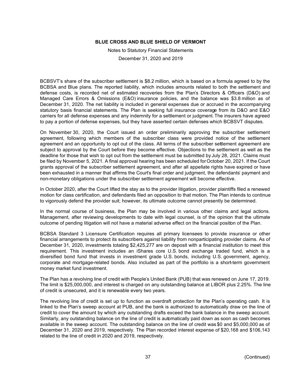Notes to Statutory Financial Statements December 31, 2020 and 2019

BCBSVT's share of the subscriber settlement is \$8.2 million, which is based on a formula agreed to by the BCBSA and Blue plans. The reported liability, which includes amounts related to both the settlement and defense costs, is recorded net of estimated recoveries from the Plan's Directors & Officers (D&O) and Managed Care Errors & Omissions (E&O) insurance policies, and the balance was \$3.8 million as of December 31, 2020. The net liability is included in general expenses due or accrued in the accompanying statutory basis financial statements. The Plan is seeking full insurance coverage from its D&O and E&O carriers for all defense expenses and any indemnity for a settlement or judgment.The insurers have agreed to pay a portion of defense expenses, but they have asserted certain defenses which BCBSVT disputes.

On November 30, 2020, the Court issued an order preliminarily approving the subscriber settlement agreement, following which members of the subscriber class were provided notice of the settlement agreement and an opportunity to opt out of the class. All terms of the subscriber settlement agreement are subject to approval by the Court before they become effective. Objections to the settlement as well as the deadline for those that wish to opt out from the settlement must be submitted by July 28, 2021. Claims must be filed by November 5, 2021. A final approval hearing has been scheduled for October 20, 2021. If the Court grants approval of the subscriber settlement agreement, and after all appellate rights have expired or have been exhausted in a manner that affirms the Court's final order and judgment, the defendants' payment and non-monetary obligations under the subscriber settlement agreement will become effective.

In October 2020, after the Court lifted the stay as to the provider litigation, provider plaintiffs filed a renewed motion for class certification, and defendants filed an opposition to that motion. The Plan intends to continue to vigorously defend the provider suit; however, its ultimate outcome cannot presently be determined.

In the normal course of business, the Plan may be involved in various other claims and legal actions. Management, after reviewing developments to date with legal counsel, is of the opinion that the ultimate outcome of pending litigation will not have a material adverse effect on the financial position of the Plan.

BCBSA Standard 3 Licensure Certification requires all primary licensees to provide insurance or other financial arrangements to protect its subscribers against liability from nonparticipating provider claims. As of December 31, 2020, investments totaling \$2,425,277 are on deposit with a financial institution to meet this requirement. This investment includes an iShares core U.S. bond exchange traded fund, which is a diversified bond fund that invests in investment grade U.S. bonds, including U.S. government, agency, corporate and mortgage-related bonds. Also included as part of the portfolio is a short-term government money market fund investment.

The Plan has a revolving line of credit with People's United Bank (PUB) that was renewed on June 17, 2019. The limit is \$25,000,000, and interest is charged on any outstanding balance at LIBOR plus 2.25%. The line of credit is unsecured, and it is renewable every two years.

The revolving line of credit is set up to function as overdraft protection for the Plan's operating cash. It is linked to the Plan's sweep account at PUB, and the bank is authorized to automatically draw on the line of credit to cover the amount by which any outstanding drafts exceed the bank balance in the sweep account. Similarly, any outstanding balance on the line of credit is automatically paid down as soon as cash becomes available in the sweep account. The outstanding balance on the line of credit was \$0 and \$5,000,000 as of December 31, 2020 and 2019, respectively. The Plan recorded interest expense of \$20,168 and \$106,143 related to the line of credit in 2020 and 2019, respectively.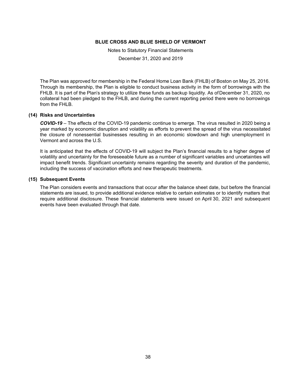Notes to Statutory Financial Statements

December 31, 2020 and 2019

The Plan was approved for membership in the Federal Home Loan Bank (FHLB) of Boston on May 25, 2016. Through its membership, the Plan is eligible to conduct business activity in the form of borrowings with the FHLB. It is part of the Plan's strategy to utilize these funds as backup liquidity. As of December 31, 2020, no collateral had been pledged to the FHLB, and during the current reporting period there were no borrowings from the FHLB.

#### **(14) Risks and Uncertainties**

*COVID-19* – The effects of the COVID-19 pandemic continue to emerge. The virus resulted in 2020 being a year marked by economic disruption and volatility as efforts to prevent the spread of the virus necessitated the closure of nonessential businesses resulting in an economic slowdown and high unemployment in Vermont and across the U.S.

It is anticipated that the effects of COVID-19 will subject the Plan's financial results to a higher degree of volatility and uncertainty for the foreseeable future as a number of significant variables and uncertainties will impact benefit trends. Significant uncertainty remains regarding the severity and duration of the pandemic, including the success of vaccination efforts and new therapeutic treatments.

#### **(15) Subsequent Events**

The Plan considers events and transactions that occur after the balance sheet date, but before the financial statements are issued, to provide additional evidence relative to certain estimates or to identify matters that require additional disclosure. These financial statements were issued on April 30, 2021 and subsequent events have been evaluated through that date.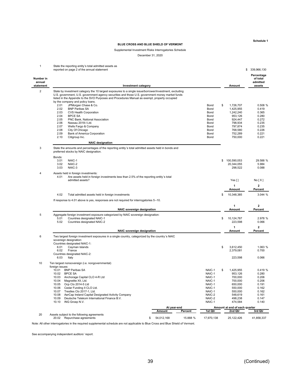**Schedule 1**

#### **BLUE CROSS AND BLUE SHIELD OF VERMONT**

#### Supplemental Investment Risks Interrogatories Schedule

December 31, 2020

| $\mathbf{1}$        | State the reporting entity's total admitted assets as<br>reported on page 2 of the annual statement                                                                                                                                                                                                                                                                                                                                                                                                                                                                                                                                                                              |             |          |                                                                                        |                                                                                                                                  | 339,966,130<br>\$<br>Percentage                                                          |
|---------------------|----------------------------------------------------------------------------------------------------------------------------------------------------------------------------------------------------------------------------------------------------------------------------------------------------------------------------------------------------------------------------------------------------------------------------------------------------------------------------------------------------------------------------------------------------------------------------------------------------------------------------------------------------------------------------------|-------------|----------|----------------------------------------------------------------------------------------|----------------------------------------------------------------------------------------------------------------------------------|------------------------------------------------------------------------------------------|
| Number in<br>annual |                                                                                                                                                                                                                                                                                                                                                                                                                                                                                                                                                                                                                                                                                  |             |          |                                                                                        |                                                                                                                                  | of total<br>admitted                                                                     |
| statement           | <b>Investment category</b>                                                                                                                                                                                                                                                                                                                                                                                                                                                                                                                                                                                                                                                       |             |          |                                                                                        | Amount                                                                                                                           | assets                                                                                   |
| $\overline{2}$      | State by investment category the 10 largest exposures to a single issue/borrower/investment, excluding<br>U.S. government, U.S. government agency securities and those U.S. government money market funds<br>listed in the Appendix to the SVO Purposes and Procedures Manual as exempt, property occupied<br>by the company and policy loans.<br>2.01<br>JPMorgan Chase & Co.<br>2.02<br><b>BNP Paribas SA</b><br>2.03<br>CVS Health Corporation<br><b>BPCE SA</b><br>2.04<br>2.05<br>PNC Bank, National Association<br>2.06<br>Nassau 2018-I Ltd.<br>2.07<br>Wells Fargo & Company<br>2.08<br>City Of Chicago<br>2.09<br>Bank of America Corporation<br>2.10<br>Citigroup Inc. |             |          | Bond<br>Bond<br>Bond<br>Bond<br>Bond<br>Bond<br>Bond<br>Bond<br>Bond<br>Bond           | \$<br>1,726,707<br>1,425,955<br>1,242,240<br>953,126<br>924,447<br>798,934<br>797,874<br>768,580<br>752,289<br>750,000           | 0.508 %<br>0.419<br>0.365<br>0.280<br>0.272<br>0.235<br>0.235<br>0.226<br>0.221<br>0.221 |
|                     | <b>NAIC designation</b>                                                                                                                                                                                                                                                                                                                                                                                                                                                                                                                                                                                                                                                          |             |          |                                                                                        |                                                                                                                                  |                                                                                          |
| 3                   | State the amounts and percentages of the reporting entity's total admitted assets held in bonds and<br>preferred stocks by NAIC designation.<br>Bonds:<br>3.01<br>NAIC-1<br>3.02<br>NAIC-2                                                                                                                                                                                                                                                                                                                                                                                                                                                                                       |             |          |                                                                                        | \$<br>100,590,053<br>20,344,055                                                                                                  | 29.588 %<br>5.984                                                                        |
|                     | 3.03<br>NAIC-3                                                                                                                                                                                                                                                                                                                                                                                                                                                                                                                                                                                                                                                                   |             |          |                                                                                        | 298,522                                                                                                                          | 0.088                                                                                    |
| 4                   | Assets held in foreign investments:<br>4.01<br>Are assets held in foreign investments less than 2.5% of the reporting entity's total<br>admitted assets?                                                                                                                                                                                                                                                                                                                                                                                                                                                                                                                         |             |          |                                                                                        | Yes [ ]<br>1<br>Amount                                                                                                           | No[X]<br>2<br>Percent                                                                    |
|                     | 4.02<br>Total admitted assets held in foreign investments                                                                                                                                                                                                                                                                                                                                                                                                                                                                                                                                                                                                                        |             |          |                                                                                        | \$<br>10,348,385                                                                                                                 | 3.044 %                                                                                  |
|                     | If response to 4.01 above is yes, responses are not required for interrogatories 5-10.                                                                                                                                                                                                                                                                                                                                                                                                                                                                                                                                                                                           |             |          |                                                                                        |                                                                                                                                  |                                                                                          |
|                     |                                                                                                                                                                                                                                                                                                                                                                                                                                                                                                                                                                                                                                                                                  |             |          |                                                                                        | 1                                                                                                                                | $\overline{2}$                                                                           |
|                     | <b>NAIC sovereign designation</b>                                                                                                                                                                                                                                                                                                                                                                                                                                                                                                                                                                                                                                                |             |          |                                                                                        | Amount                                                                                                                           | Percent                                                                                  |
| 5                   | Aggregate foreign investment exposure categorized by NAIC sovereign designation:                                                                                                                                                                                                                                                                                                                                                                                                                                                                                                                                                                                                 |             |          |                                                                                        |                                                                                                                                  |                                                                                          |
|                     | 5.01<br>Countries designated NAIC-1<br>5.02<br>Countries designated NAIC-2                                                                                                                                                                                                                                                                                                                                                                                                                                                                                                                                                                                                       |             |          |                                                                                        | \$<br>10,124,787<br>223,598                                                                                                      | 2.978 %<br>0.066                                                                         |
|                     | <b>NAIC sovereign designation</b>                                                                                                                                                                                                                                                                                                                                                                                                                                                                                                                                                                                                                                                |             |          |                                                                                        | 1<br>Amount                                                                                                                      | $\overline{2}$<br>Percent                                                                |
| 6                   | Two largest foreign investment exposures in a single country, categorized by the country's NAIC                                                                                                                                                                                                                                                                                                                                                                                                                                                                                                                                                                                  |             |          |                                                                                        |                                                                                                                                  |                                                                                          |
|                     | sovereign designation:                                                                                                                                                                                                                                                                                                                                                                                                                                                                                                                                                                                                                                                           |             |          |                                                                                        |                                                                                                                                  |                                                                                          |
|                     | Countries designated NAIC-1:<br>6.01<br>Cayman Islands<br>6.02<br>France<br>Countries designated NAIC-2:                                                                                                                                                                                                                                                                                                                                                                                                                                                                                                                                                                         |             |          |                                                                                        | \$<br>3,612,450<br>2,379,081                                                                                                     | 1.063 %<br>0.700                                                                         |
|                     | 6.03<br>Italy                                                                                                                                                                                                                                                                                                                                                                                                                                                                                                                                                                                                                                                                    |             |          |                                                                                        | 223,598                                                                                                                          | 0.066                                                                                    |
| 10                  | Ten largest nonsovereign (i.e. nongovernmental)<br>foreign issues:<br><b>BNP Paribas SA</b><br>10.01                                                                                                                                                                                                                                                                                                                                                                                                                                                                                                                                                                             |             |          | NAIC-1                                                                                 | \$<br>1,425,955                                                                                                                  | 0.419 %                                                                                  |
|                     | 10.02<br><b>BPCE SA</b><br>10.03 Anchorage Capital CLO 4-R Ltd<br>10.04<br>Magnetite XII, Ltd.<br>10.05<br>Ocp Clo 2014-5 Ltd<br>10.06<br>Cedar Funding II CLO Ltd.<br>Trestles Clo 2017-1, Ltd.<br>10.07<br>10.08<br>AerCap Ireland Capital Designated Activity Company<br>Deutsche Telekom International Finance B.V.<br>10.09<br>ING Groep N.V.<br>10.10                                                                                                                                                                                                                                                                                                                      | At year-end |          | NAIC-1<br>NAIC-1<br>NAIC-1<br>NAIC-1<br>NAIC-1<br>NAIC-1<br>NAIC-2<br>NAIC-2<br>NAIC-1 | 953,126<br>700,000<br>700,000<br>650,000<br>550,000<br>550,000<br>548,619<br>498,238<br>474.584<br>Amount at end of each quarter | 0.280<br>0.206<br>0.206<br>0.191<br>0.162<br>0.162<br>0.161<br>0.147<br>0.140            |
|                     |                                                                                                                                                                                                                                                                                                                                                                                                                                                                                                                                                                                                                                                                                  | Amount      | Percent  | 1st Qtr                                                                                | 2nd Qtr                                                                                                                          | 3rd Qtr                                                                                  |
| 20                  | Assets subject to the following agreements<br>20.02 Repurchase agreements<br>\$                                                                                                                                                                                                                                                                                                                                                                                                                                                                                                                                                                                                  | 54,012,168  | 15.888 % | 17,970,138                                                                             | 25,122,426                                                                                                                       | 41,858,337                                                                               |

Note: All other interrogatories in the required supplemental schedule are not applicable to Blue Cross and Blue Shield of Vermont.

See accompanying independent auditors' report.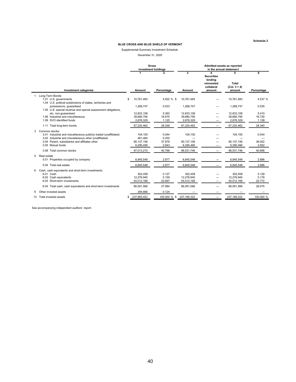#### Supplemental Summary Investment Schedule December 31, 2020

|    |                                                                                                                                                                                                                     | <b>Gross</b><br>investment holdings |                                               |                                   | Admitted assets as reported<br>in the annual statement |                                                                    |                                               |                          |
|----|---------------------------------------------------------------------------------------------------------------------------------------------------------------------------------------------------------------------|-------------------------------------|-----------------------------------------------|-----------------------------------|--------------------------------------------------------|--------------------------------------------------------------------|-----------------------------------------------|--------------------------|
|    | <b>Investment categories</b>                                                                                                                                                                                        |                                     | Amount                                        | Percentage                        | 3<br>Amount                                            | <b>Securities</b><br>lending<br>reinvested<br>collateral<br>amount | Б<br><b>Total</b><br>$(Col. 3 + 4)$<br>amount | 6<br>Percentage          |
|    | Long-Term Bonds:                                                                                                                                                                                                    |                                     |                                               |                                   |                                                        |                                                                    |                                               |                          |
|    | 1.01 U.S. governments<br>1.04 U.S. political subdivisions of states, territories and                                                                                                                                | \$                                  | 10,761,483                                    | 4.522 % \$                        | 10,761,483                                             |                                                                    | 10,761,483                                    | 4.537 %                  |
|    | possessions, quaranteed<br>1.05 U.S. special revenue and special assessment obligations,                                                                                                                            |                                     | 1,268,747                                     | 0.533                             | 1,268,747                                              |                                                                    | 1,268,747                                     | 0.535                    |
|    | etc. non-quaranteed:                                                                                                                                                                                                |                                     | 12.833.108                                    | 5.393                             | 12,833,108                                             |                                                                    | 12,833,108                                    | 5.410                    |
|    | 1.06 Industrial and miscellaneous                                                                                                                                                                                   |                                     | 39,680,795                                    | 16.675                            | 39,680,795                                             |                                                                    | 39,680,795                                    | 16.730                   |
|    | 1.09 SVO identified funds                                                                                                                                                                                           |                                     | 2.676.329                                     | 1.125                             | 2,676,329                                              |                                                                    | 2,676,329                                     | 1.128                    |
|    | 1.11 Total long-term bonds                                                                                                                                                                                          |                                     | 67,220,462                                    | 28.248                            | 67,220,462                                             |                                                                    | 67,220,462                                    | 28.340                   |
| 3  | Common stocks:<br>3.01 Industrial and miscellaneous publicly traded (unaffiliated)<br>3.02 Industrial and miscellaneous other (unaffiliated)<br>3.04 Parent, subsidiaries and affiliates other<br>3.05 Mutual funds |                                     | 104,100<br>481,464<br>90,137,156<br>6,290,490 | 0.044<br>0.202<br>37.878<br>2.643 | 104,100<br>90,137,156<br>6,290,490                     |                                                                    | 104,100<br>90,137,156<br>6,290,490            | 0.044<br>38.002<br>2.652 |
|    | 3.08 Total common stocks                                                                                                                                                                                            |                                     | 97,013,210                                    | 40.768                            | 96,531,746                                             |                                                                    | 96,531,746                                    | 40.698                   |
|    | 5 Real estate                                                                                                                                                                                                       |                                     |                                               |                                   |                                                        |                                                                    |                                               |                          |
|    | 5.01 Properties occupied by company                                                                                                                                                                                 |                                     | 6,845,548                                     | 2.877                             | 6,845,548                                              |                                                                    | 6,845,548                                     | 2.886                    |
|    | 5.04 Total real estate                                                                                                                                                                                              |                                     | 6,845,548                                     | 2.877                             | 6,845,548                                              |                                                                    | 6,845,548                                     | 2.886                    |
| 6  | Cash, cash equivalents and short-term investments:                                                                                                                                                                  |                                     |                                               |                                   |                                                        |                                                                    |                                               |                          |
|    | 6.01 Cash                                                                                                                                                                                                           |                                     | 302,458                                       | 0.127                             | 302,458                                                |                                                                    | 302,458                                       | 0.128                    |
|    | 6.02 Cash equivalents                                                                                                                                                                                               |                                     | 12,276,940                                    | 5.159                             | 12,276,940                                             |                                                                    | 12,276,940                                    | 5.176                    |
|    | 6.03 Short-term investments                                                                                                                                                                                         |                                     | 54,012,168                                    | 22.697                            | 54,012,168                                             |                                                                    | 54,012,168                                    | 22.772                   |
|    | 6.04 Total cash, cash equivalents and short-term investments                                                                                                                                                        |                                     | 66,591,566                                    | 27.984                            | 66,591,566                                             | -                                                                  | 66,591,566                                    | 28.075                   |
| 9  | Other invested assets                                                                                                                                                                                               |                                     | 294,666                                       | 0.124                             |                                                        |                                                                    |                                               |                          |
| 13 | Total invested assets                                                                                                                                                                                               | \$                                  | 237,965,452                                   | 100.000 % \$                      | 237,189,322                                            | -                                                                  | 237,189,322                                   | 100.000 %                |

See accompanying independent auditors' report.

**Schedule 2**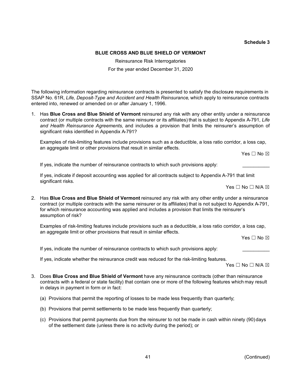#### **Schedule 3**

# **BLUE CROSS AND BLUE SHIELD OF VERMONT**

Reinsurance Risk Interrogatories For the year ended December 31, 2020

The following information regarding reinsurance contracts is presented to satisfy the disclosure requirements in SSAP No. 61R, *Life, Deposit-Type and Accident and Health Reinsurance*, which apply to reinsurance contracts entered into, renewed or amended on or after January 1, 1996.

1. Has **Blue Cross and Blue Shield of Vermont** reinsured any risk with any other entity under a reinsurance contract (or multiple contracts with the same reinsurer or its affiliates) that is subject to Appendix A-791, *Life and Health Reinsurance Agreements*, and includes a provision that limits the reinsurer's assumption of significant risks identified in Appendix A-791?

Examples of risk-limiting features include provisions such as a deductible, a loss ratio corridor, a loss cap, an aggregate limit or other provisions that result in similar effects.

Yes □ No ⊠

If yes, indicate the number of reinsurance contracts to which such provisions apply:

If yes, indicate if deposit accounting was applied for all contracts subject to Appendix A-791 that limit significant risks.

 $Yes \Box No \Box N/A \boxtimes$ 

2. Has **Blue Cross and Blue Shield of Vermont** reinsured any risk with any other entity under a reinsurance contract (or multiple contracts with the same reinsurer or its affiliates) that is not subject to Appendix A-791, for which reinsurance accounting was applied and includes a provision that limits the reinsurer's assumption of risk?

Examples of risk-limiting features include provisions such as a deductible, a loss ratio corridor, a loss cap, an aggregate limit or other provisions that result in similar effects.

Yes □ No ⊠

If yes, indicate the number of reinsurance contracts to which such provisions apply:

If yes, indicate whether the reinsurance credit was reduced for the risk-limiting features.

Yes  $\Box$  No  $\Box$  N/A  $\boxtimes$ 

- 3. Does **Blue Cross and Blue Shield of Vermont** have any reinsurance contracts (other than reinsurance contracts with a federal or state facility) that contain one or more of the following features which may result in delays in payment in form or in fact:
	- (a) Provisions that permit the reporting of losses to be made less frequently than quarterly;
	- (b) Provisions that permit settlements to be made less frequently than quarterly;
	- (c) Provisions that permit payments due from the reinsurer to not be made in cash within ninety (90)days of the settlement date (unless there is no activity during the period); or